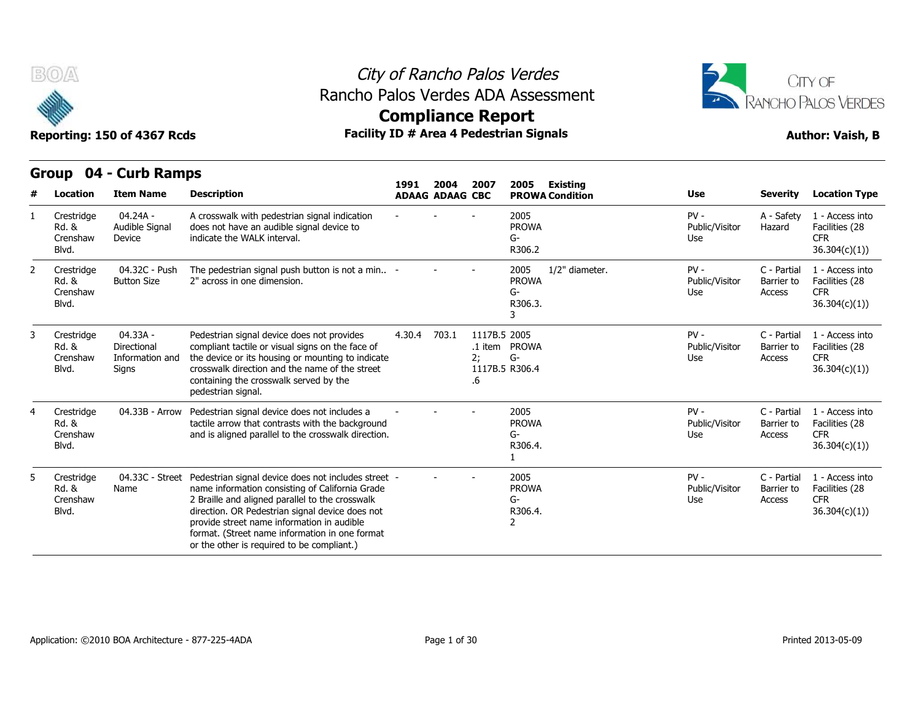



## **Compliance Report**

|   | Group                                    | 04 - Curb Ramps                                     |                                                                                                                                                                                                                                                                                                                                                            |        |                                |                          |                                                         |                 |                                 |                                     |                                                                  |
|---|------------------------------------------|-----------------------------------------------------|------------------------------------------------------------------------------------------------------------------------------------------------------------------------------------------------------------------------------------------------------------------------------------------------------------------------------------------------------------|--------|--------------------------------|--------------------------|---------------------------------------------------------|-----------------|---------------------------------|-------------------------------------|------------------------------------------------------------------|
|   | Location                                 | <b>Item Name</b>                                    | <b>Description</b>                                                                                                                                                                                                                                                                                                                                         | 1991   | 2004<br><b>ADAAG ADAAG CBC</b> | 2007                     | 2005<br><b>PROWA Condition</b>                          | <b>Existing</b> | <b>Use</b>                      | <b>Severity</b>                     | <b>Location Type</b>                                             |
|   | Crestridge<br>Rd. &<br>Crenshaw<br>Blvd. | $04.24A -$<br>Audible Signal<br>Device              | A crosswalk with pedestrian signal indication<br>does not have an audible signal device to<br>indicate the WALK interval.                                                                                                                                                                                                                                  |        |                                |                          | 2005<br><b>PROWA</b><br>G-<br>R306.2                    |                 | $PV -$<br>Public/Visitor<br>Use | A - Safety<br>Hazard                | 1 - Access into<br>Facilities (28<br><b>CFR</b><br>36.304(c)(1)  |
| 2 | Crestridge<br>Rd. &<br>Crenshaw<br>Blvd. | 04.32C - Push<br><b>Button Size</b>                 | The pedestrian signal push button is not a min -<br>2" across in one dimension.                                                                                                                                                                                                                                                                            |        |                                |                          | 2005<br><b>PROWA</b><br>G-<br>R306.3.                   | 1/2" diameter.  | $PV -$<br>Public/Visitor<br>Use | C - Partial<br>Barrier to<br>Access | 1 - Access into<br>Facilities (28<br><b>CFR</b><br>36.304(c)(1)) |
|   | Crestridge<br>Rd. &<br>Crenshaw<br>Blvd. | 04.33A -<br>Directional<br>Information and<br>Signs | Pedestrian signal device does not provides<br>compliant tactile or visual signs on the face of<br>the device or its housing or mounting to indicate<br>crosswalk direction and the name of the street<br>containing the crosswalk served by the<br>pedestrian signal.                                                                                      | 4.30.4 | 703.1                          | 1117B.5 2005<br>2;<br>.6 | .1 item PROWA<br>$G-$<br>1117B.5 R306.4                 |                 | $PV -$<br>Public/Visitor<br>Use | C - Partial<br>Barrier to<br>Access | 1 - Access into<br>Facilities (28<br><b>CFR</b><br>36.304(c)(1)  |
|   | Crestridge<br>Rd. &<br>Crenshaw<br>Blvd. | 04.33B - Arrow                                      | Pedestrian signal device does not includes a<br>tactile arrow that contrasts with the background<br>and is aligned parallel to the crosswalk direction.                                                                                                                                                                                                    |        |                                |                          | 2005<br><b>PROWA</b><br>G-<br>R306.4.                   |                 | $PV -$<br>Public/Visitor<br>Use | C - Partial<br>Barrier to<br>Access | 1 - Access into<br>Facilities (28<br><b>CFR</b><br>36.304(c)(1)  |
| 5 | Crestridge<br>Rd. &<br>Crenshaw<br>Blvd. | 04.33C - Street<br>Name                             | Pedestrian signal device does not includes street -<br>name information consisting of California Grade<br>2 Braille and aligned parallel to the crosswalk<br>direction. OR Pedestrian signal device does not<br>provide street name information in audible<br>format. (Street name information in one format<br>or the other is required to be compliant.) |        |                                |                          | 2005<br><b>PROWA</b><br>G-<br>R306.4.<br>$\overline{2}$ |                 | $PV -$<br>Public/Visitor<br>Use | C - Partial<br>Barrier to<br>Access | 1 - Access into<br>Facilities (28<br><b>CFR</b><br>36.304(c)(1)  |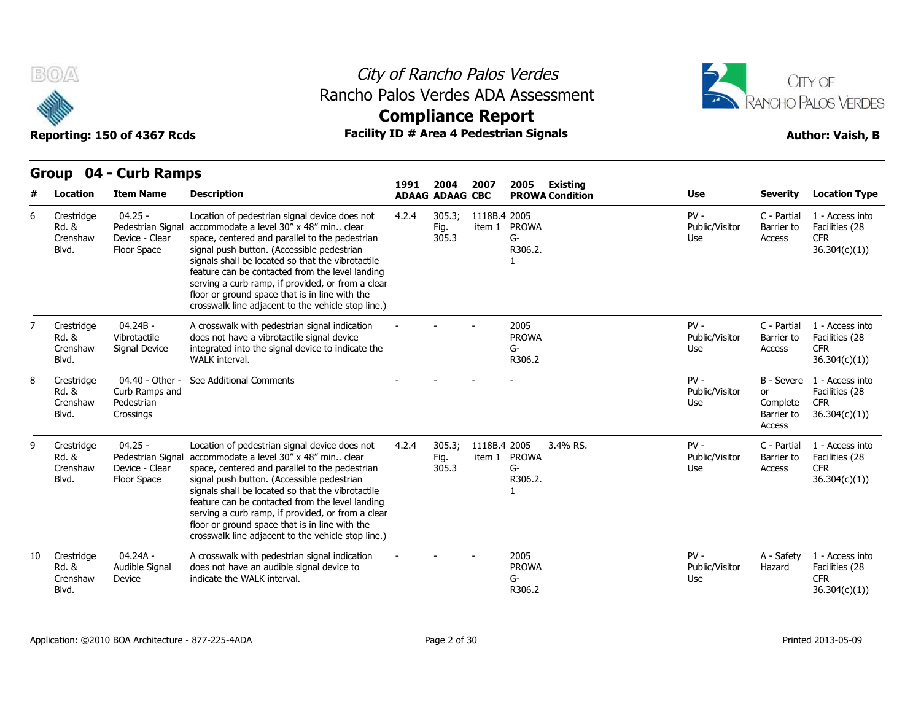

### City of Rancho Palos Verdes Rancho Palos Verdes ADA Assessment





|    | urvup<br>VT.                             | <b>CAID RAILDS</b>                                              |                                                                                                                                                                                                                                                                                                                                                                                                                                                               | 1991  | 2004                    | 2007         | 2005<br>Existing                          |                                 |                                                             |                                                                  |
|----|------------------------------------------|-----------------------------------------------------------------|---------------------------------------------------------------------------------------------------------------------------------------------------------------------------------------------------------------------------------------------------------------------------------------------------------------------------------------------------------------------------------------------------------------------------------------------------------------|-------|-------------------------|--------------|-------------------------------------------|---------------------------------|-------------------------------------------------------------|------------------------------------------------------------------|
|    | Location                                 | <b>Item Name</b>                                                | <b>Description</b>                                                                                                                                                                                                                                                                                                                                                                                                                                            |       | <b>ADAAG ADAAG CBC</b>  |              | <b>PROWA Condition</b>                    | <b>Use</b>                      | <b>Severity</b>                                             | <b>Location Type</b>                                             |
| 6  | Crestridge<br>Rd. &<br>Crenshaw<br>Blvd. | $04.25 -$<br>Pedestrian Signal<br>Device - Clear<br>Floor Space | Location of pedestrian signal device does not<br>accommodate a level 30" x 48" min clear<br>space, centered and parallel to the pedestrian<br>signal push button. (Accessible pedestrian<br>signals shall be located so that the vibrotactile<br>feature can be contacted from the level landing<br>serving a curb ramp, if provided, or from a clear<br>floor or ground space that is in line with the<br>crosswalk line adjacent to the vehicle stop line.) | 4.2.4 | 305.3;<br>Fig.<br>305.3 | 1118B.4 2005 | item 1 PROWA<br>G-<br>R306.2.             | $PV -$<br>Public/Visitor<br>Use | C - Partial<br>Barrier to<br>Access                         | 1 - Access into<br>Facilities (28<br><b>CFR</b><br>36.304(c)(1)) |
|    | Crestridge<br>Rd. &<br>Crenshaw<br>Blvd. | $04.24B -$<br>Vibrotactile<br>Signal Device                     | A crosswalk with pedestrian signal indication<br>does not have a vibrotactile signal device<br>integrated into the signal device to indicate the<br>WALK interval.                                                                                                                                                                                                                                                                                            |       |                         |              | 2005<br><b>PROWA</b><br>G-<br>R306.2      | $PV -$<br>Public/Visitor<br>Use | C - Partial<br>Barrier to<br>Access                         | 1 - Access into<br>Facilities (28<br><b>CFR</b><br>36.304(c)(1)) |
| 8  | Crestridge<br>Rd. &<br>Crenshaw<br>Blvd. | 04.40 - Other -<br>Curb Ramps and<br>Pedestrian<br>Crossings    | See Additional Comments                                                                                                                                                                                                                                                                                                                                                                                                                                       |       |                         |              |                                           | $PV -$<br>Public/Visitor<br>Use | B - Severe<br><b>or</b><br>Complete<br>Barrier to<br>Access | 1 - Access into<br>Facilities (28<br><b>CFR</b><br>36.304(c)(1)  |
| 9  | Crestridge<br>Rd. &<br>Crenshaw<br>Blvd. | $04.25 -$<br>Pedestrian Signal<br>Device - Clear<br>Floor Space | Location of pedestrian signal device does not<br>accommodate a level 30" x 48" min clear<br>space, centered and parallel to the pedestrian<br>signal push button. (Accessible pedestrian<br>signals shall be located so that the vibrotactile<br>feature can be contacted from the level landing<br>serving a curb ramp, if provided, or from a clear<br>floor or ground space that is in line with the<br>crosswalk line adjacent to the vehicle stop line.) | 4.2.4 | 305.3;<br>Fig.<br>305.3 | 1118B.4 2005 | 3.4% RS.<br>item 1 PROWA<br>G-<br>R306.2. | $PV -$<br>Public/Visitor<br>Use | C - Partial<br>Barrier to<br>Access                         | 1 - Access into<br>Facilities (28<br><b>CFR</b><br>36.304(c)(1)  |
| 10 | Crestridge<br>Rd. &<br>Crenshaw<br>Blvd. | $04.24A -$<br>Audible Signal<br>Device                          | A crosswalk with pedestrian signal indication<br>does not have an audible signal device to<br>indicate the WALK interval.                                                                                                                                                                                                                                                                                                                                     |       |                         |              | 2005<br><b>PROWA</b><br>G-<br>R306.2      | $PV -$<br>Public/Visitor<br>Use | A - Safety<br>Hazard                                        | 1 - Access into<br>Facilities (28<br><b>CFR</b><br>36.304(c)(1)) |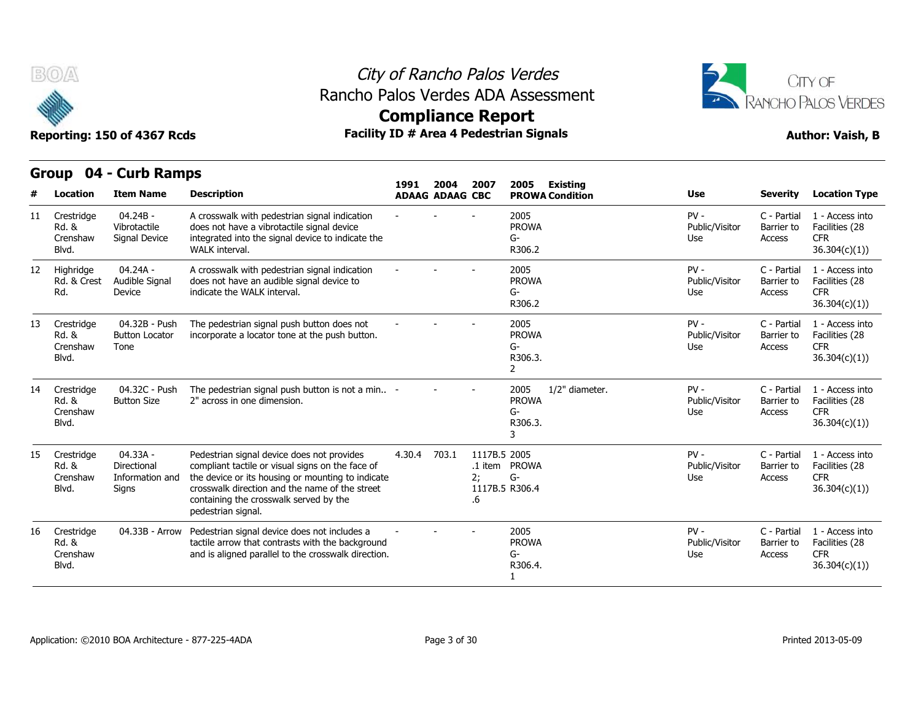



### **Compliance Report**

|    | Group                                               | 04 - Curb Ramps                                     |                                                                                                                                                                                                                                                                       |        |                                |                                     |                                                                |                                 |                                     |                                                                  |
|----|-----------------------------------------------------|-----------------------------------------------------|-----------------------------------------------------------------------------------------------------------------------------------------------------------------------------------------------------------------------------------------------------------------------|--------|--------------------------------|-------------------------------------|----------------------------------------------------------------|---------------------------------|-------------------------------------|------------------------------------------------------------------|
| #  | Location                                            | <b>Item Name</b>                                    | <b>Description</b>                                                                                                                                                                                                                                                    | 1991   | 2004<br><b>ADAAG ADAAG CBC</b> | 2007                                | 2005<br><b>Existing</b><br><b>PROWA Condition</b>              | <b>Use</b>                      | <b>Severity</b>                     | <b>Location Type</b>                                             |
| 11 | Crestridge<br><b>Rd. &amp;</b><br>Crenshaw<br>Blvd. | $04.24B -$<br>Vibrotactile<br>Signal Device         | A crosswalk with pedestrian signal indication<br>does not have a vibrotactile signal device<br>integrated into the signal device to indicate the<br>WALK interval.                                                                                                    |        |                                |                                     | 2005<br><b>PROWA</b><br>$G-$<br>R306.2                         | $PV -$<br>Public/Visitor<br>Use | C - Partial<br>Barrier to<br>Access | 1 - Access into<br>Facilities (28<br><b>CFR</b><br>36.304(c)(1)) |
| 12 | Highridge<br>Rd. & Crest<br>Rd.                     | $04.24A -$<br>Audible Signal<br>Device              | A crosswalk with pedestrian signal indication<br>does not have an audible signal device to<br>indicate the WALK interval.                                                                                                                                             |        |                                |                                     | 2005<br><b>PROWA</b><br>G-<br>R306.2                           | $PV -$<br>Public/Visitor<br>Use | C - Partial<br>Barrier to<br>Access | 1 - Access into<br>Facilities (28<br><b>CFR</b><br>36.304(c)(1)) |
| 13 | Crestridge<br>Rd. &<br>Crenshaw<br>Blvd.            | 04.32B - Push<br><b>Button Locator</b><br>Tone      | The pedestrian signal push button does not<br>incorporate a locator tone at the push button.                                                                                                                                                                          |        |                                |                                     | 2005<br><b>PROWA</b><br>G-<br>R306.3.<br>2                     | $PV -$<br>Public/Visitor<br>Use | C - Partial<br>Barrier to<br>Access | 1 - Access into<br>Facilities (28<br><b>CFR</b><br>36.304(c)(1)) |
| 14 | Crestridge<br>Rd. &<br>Crenshaw<br>Blvd.            | 04.32C - Push<br><b>Button Size</b>                 | The pedestrian signal push button is not a min -<br>2" across in one dimension.                                                                                                                                                                                       |        |                                |                                     | 1/2" diameter.<br>2005<br><b>PROWA</b><br>$G-$<br>R306.3.<br>3 | $PV -$<br>Public/Visitor<br>Use | C - Partial<br>Barrier to<br>Access | 1 - Access into<br>Facilities (28<br><b>CFR</b><br>36.304(c)(1)) |
| 15 | Crestridge<br>Rd. &<br>Crenshaw<br>Blvd.            | 04.33A -<br>Directional<br>Information and<br>Signs | Pedestrian signal device does not provides<br>compliant tactile or visual signs on the face of<br>the device or its housing or mounting to indicate<br>crosswalk direction and the name of the street<br>containing the crosswalk served by the<br>pedestrian signal. | 4.30.4 | 703.1                          | 1117B.5 2005<br>.1 item<br>2:<br>.6 | <b>PROWA</b><br>$G-$<br>1117B.5 R306.4                         | $PV -$<br>Public/Visitor<br>Use | C - Partial<br>Barrier to<br>Access | 1 - Access into<br>Facilities (28<br><b>CFR</b><br>36.304(c)(1)  |
| 16 | Crestridge<br>Rd. &<br>Crenshaw<br>Blvd.            | 04.33B - Arrow                                      | Pedestrian signal device does not includes a<br>tactile arrow that contrasts with the background<br>and is aligned parallel to the crosswalk direction.                                                                                                               |        |                                |                                     | 2005<br><b>PROWA</b><br>G-<br>R306.4.                          | $PV -$<br>Public/Visitor<br>Use | C - Partial<br>Barrier to<br>Access | 1 - Access into<br>Facilities (28<br><b>CFR</b><br>36.304(c)(1)  |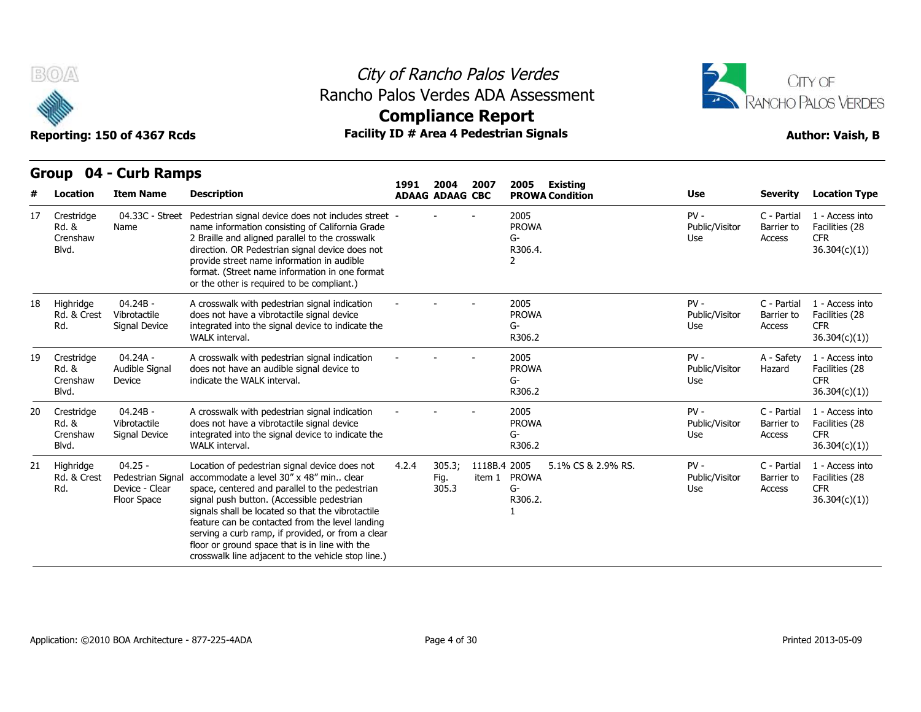



**Compliance Report**

### **Group 04 - Curb Ramps Item Name Description 1991 ADAAG 2004 ADAAG CBC PROWA 2007 2005 Existing # Location Condition Use Severity Location Type** 04.33C - Street Pedestrian signal device does not includes street Name name information consisting of California Grade 2 Braille and aligned parallel to the crosswalk direction. OR Pedestrian signal device does not provide street name information in audible format. (Street name information in one format or the other is required to be compliant.) - - - 2005 PROWA G-R306.4. 2 PV - C - Partial Public/Visitor Barrier to Use Access C - Partial 1 - Access into Barrier to Facilities (28 CFR 36.304(c)(1)) 17 Crestridge Rd. & **Crenshaw** Blvd. 04.24B - Vibrotactile Signal Device integrated into the signal device to indicate the A crosswalk with pedestrian signal indication does not have a vibrotactile signal device WALK interval. - - - <sup>2005</sup> PROWA G-R306.2 PV - C - Partial Public/Visitor Barrier to Use Access C - Partial 1 - Access into Barrier to Facilities (28 CFR 36.304(c)(1)) 18 Highridge Rd. & Crest Rd. Signal Device 04.24A - Audible Signal Device indicate the WAI K interval. A crosswalk with pedestrian signal indication does not have an audible signal device to indicate the WALK interval. - - - <sup>2005</sup> PROWA G-R306.2 PV - A - Safety Public/Visitor Use A - Safety 1 - Access into Hazard Facilities (28 CFR 36.304(c)(1)) 19 Crestridge Rd. & **Crenshaw** Blvd. 04.24B - Vibrotactile Signal Device integrated into the signal device to indicate the A crosswalk with pedestrian signal indication does not have a vibrotactile signal device WALK interval. - - - <sup>2005</sup> PROWA G-R306.2 PV - C - Partial Public/Visitor Use Access C - Partial 1 - Access into Barrier to Facilities (28 CFR 36.304(c)(1)) 20 Crestridge Rd. & Crenshaw Signal Device Blvd. 04.25 - Rd. & Crest Pedestrian Signal accommodat Device - Clear Floor Space signal push button. (Accessible pedestrian Location of pedestrian signal device does not accommodate a level 30" x 48" min.. clear space, centered and parallel to the pedestrian signals shall be located so that the vibrotactile feature can be contacted from the level landing serving a curb ramp, if provided, or from a clear floor or ground space that is in line with the crosswalk line adjacent to the vehicle stop line.) 4.2.4 305.3; 1118B.4 Fig. item 1 PROWA 305.3 2005 5.1% CS & 2.9% RS. PV - G-R306.2. 1 Public/Visitor Use Access C - Partial 1 - Access into Barrier to Facilities (28 **CFR** 36.304(c)(1)) 21 Highridge Rd.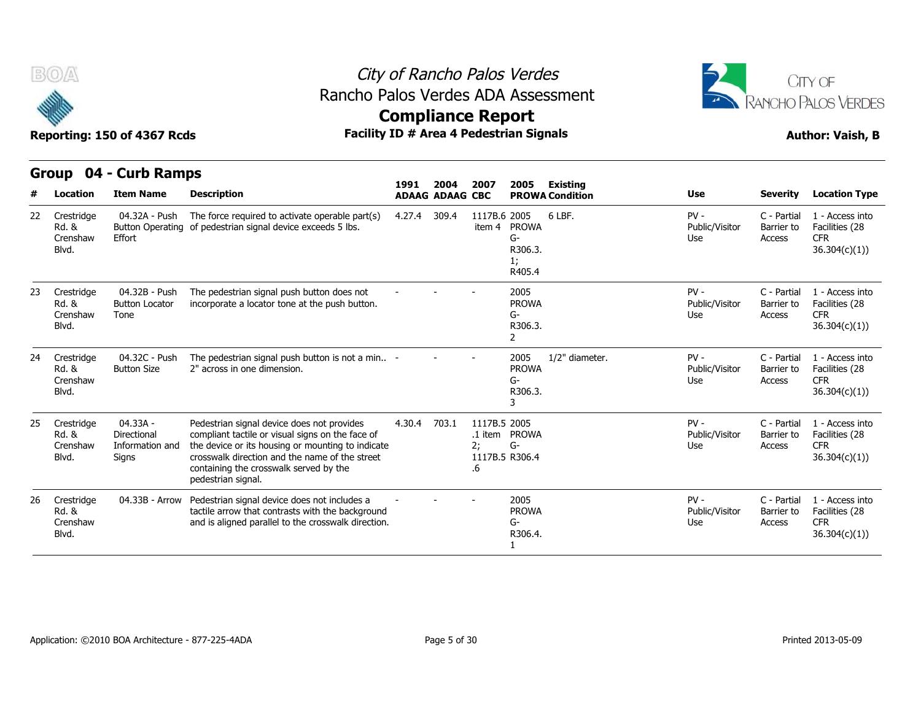



**Compliance Report**

### **Group 04 - Curb Ramps Item Name Description 1991 ADAAG 2004 ADAAG CBC PROWA 2007 2005 Existing # Location Condition Use Severity Location Type** 04.32A - Push Rd. & Button Operating of pedestrian signal device exceeds 5 lbs. Effort The force required to activate operable part(s) 4.27.4 309.4 1117B.6 2005 item 4 PROWA 6 I BF G-R306.3. 1; R405.4 6 LBF. PV - Public/Visitor Barrier to Use Access C - Partial 1 - Access into Barrier to Facilities (28 CFR 36.304(c)(1)) 22 Crestridge Crenshaw Blvd. 04.32B - Push Button Locator Tone The pedestrian signal push button does not The pedestrian signal push button does not  $\qquad \qquad -$  - - - - 2005<br>incorporate a locator tone at the push button. PROV PROWA G-R306.3. 2 PV - C - Partial Public/Visitor Use Access C - Partial 1 - Access into Barrier to Facilities (28 CFR 36.304(c)(1)) 23 Crestridge Rd. & Crenshaw Blvd. 04.32C - Push Button Size 2" across in one dimension. The pedestrian signal push button is not a min.. 2" across in one dimension. - - - <sup>2005</sup> PROWA G-R306.3. 3 1/2" diameter. 
PV - 
C - Partial Public/Visitor Barrier to Use Access C - Partial 1 - Access into Barrier to Facilities (28 CFR 36.304(c)(1)) 24 Crestridge Rd. & **Crenshaw** Blvd. 04.33A - Directional Crenshaw Information and the device of Signs Pedestrian signal device does not provides compliant tactile or visual signs on the face of the device or its housing or mounting to indicate crosswalk direction and the name of the street containing the crosswalk served by the pedestrian signal. 4.30.4 703.1 .1 item PROWA 2; G-1117B.5 R306.4 .6 1117B 5 2005 PV - C - Partial Public/Visitor Use Access C - Partial 1 - Access into Barrier to Facilities (28 CFR 36.304(c)(1)) 25 Crestridge Rd. &<br>Crenshaw Blvd. 04.32C - Push The pedestrian signal push button is not a min.. -<br>
Button Size 2" across in one dimension.<br>
04.33A - Pedestrian signal device does not provides 4.30.4<br>
Directional compliant tactile or visual signs on the fa tactile arrow that contrasts with the background 04.33B - Arrow Pedestrian signal device does not includes a  $\begin{array}{ccc} \text{2005} \\ \text{4000} \\ \text{2005} \end{array}$  04.33B - Arrow Pedestrian signal device does not includes a  $\begin{array}{ccc} \text{2005} \\ \text{2005} \\ \text{2005} \end{array}$  2005 PROWA G-R306.4. 1 PV - Public/Visitor Barrier to Use Access C - Partial 1 - Access into Barrier to Facilities (28 CFR 36.304(c)(1)) 26 Crestridge Rd. & **Crenshaw** Blvd.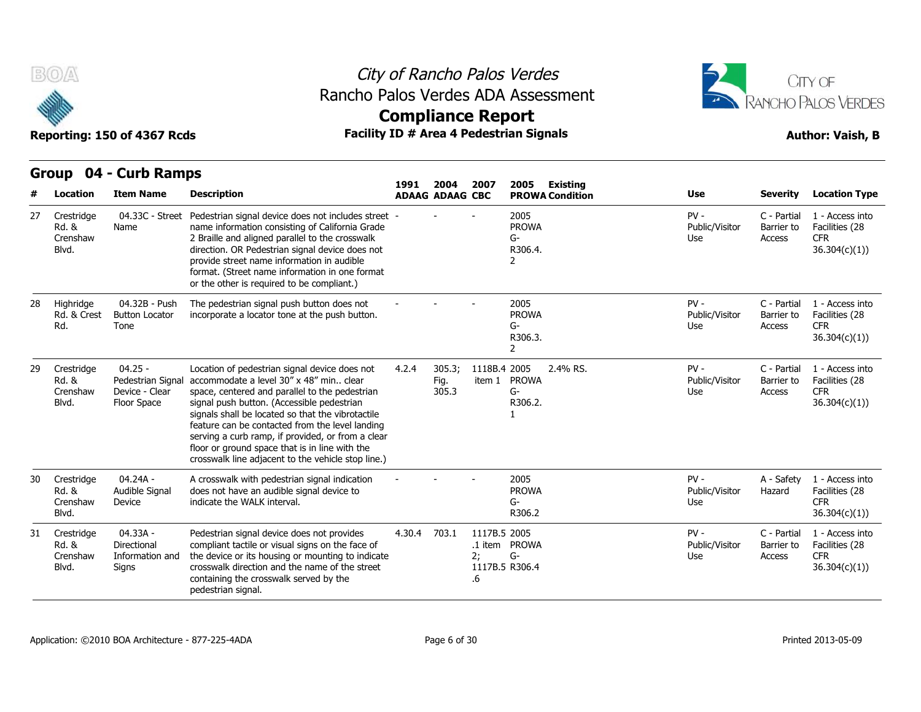

### City of Rancho Palos Verdes Rancho Palos Verdes ADA Assessment



## **Compliance Report**

### Reporting: 150 of 4367 Rcds **Facility ID # Area 4 Pedestrian Signals Facility ID # Area 4 Pedestrian Signals Author: Vaish, B**

|    | urvup<br>דש                              | <b>CALD RAILIPS</b>                                             |                                                                                                                                                                                                                                                                                                                                                                                                                                                                 | 1991                   | 2004                    | 2007                     | 2005<br>Existing                            |                                 |                                     |                                                                  |
|----|------------------------------------------|-----------------------------------------------------------------|-----------------------------------------------------------------------------------------------------------------------------------------------------------------------------------------------------------------------------------------------------------------------------------------------------------------------------------------------------------------------------------------------------------------------------------------------------------------|------------------------|-------------------------|--------------------------|---------------------------------------------|---------------------------------|-------------------------------------|------------------------------------------------------------------|
|    | Location                                 | <b>Item Name</b>                                                | <b>Description</b>                                                                                                                                                                                                                                                                                                                                                                                                                                              | <b>ADAAG ADAAG CBC</b> |                         |                          | <b>PROWA Condition</b>                      | <b>Use</b>                      | <b>Severity</b>                     | <b>Location Type</b>                                             |
| 27 | Crestridge<br>Rd. &<br>Crenshaw<br>Blvd. | 04.33C - Street<br>Name                                         | Pedestrian signal device does not includes street -<br>name information consisting of California Grade<br>2 Braille and aligned parallel to the crosswalk<br>direction. OR Pedestrian signal device does not<br>provide street name information in audible<br>format. (Street name information in one format<br>or the other is required to be compliant.)                                                                                                      |                        |                         |                          | 2005<br><b>PROWA</b><br>G-<br>R306.4.<br>2  | $PV -$<br>Public/Visitor<br>Use | C - Partial<br>Barrier to<br>Access | 1 - Access into<br>Facilities (28<br><b>CFR</b><br>36.304(c)(1)  |
| 28 | Highridge<br>Rd. & Crest<br>Rd.          | 04.32B - Push<br><b>Button Locator</b><br>Tone                  | The pedestrian signal push button does not<br>incorporate a locator tone at the push button.                                                                                                                                                                                                                                                                                                                                                                    |                        |                         |                          | 2005<br><b>PROWA</b><br>G-<br>R306.3.<br>2  | $PV -$<br>Public/Visitor<br>Use | C - Partial<br>Barrier to<br>Access | 1 - Access into<br>Facilities (28<br><b>CFR</b><br>36.304(c)(1)) |
| 29 | Crestridge<br>Rd. &<br>Crenshaw<br>Blvd. | $04.25 -$<br>Pedestrian Signal<br>Device - Clear<br>Floor Space | Location of pedestrian signal device does not<br>accommodate a level 30" x 48" min., clear<br>space, centered and parallel to the pedestrian<br>signal push button. (Accessible pedestrian<br>signals shall be located so that the vibrotactile<br>feature can be contacted from the level landing<br>serving a curb ramp, if provided, or from a clear<br>floor or ground space that is in line with the<br>crosswalk line adjacent to the vehicle stop line.) | 4.2.4                  | 305.3:<br>Fig.<br>305.3 | 1118B.4 2005<br>item 1   | 2.4% RS.<br><b>PROWA</b><br>$G-$<br>R306.2. | $PV -$<br>Public/Visitor<br>Use | C - Partial<br>Barrier to<br>Access | 1 - Access into<br>Facilities (28<br><b>CFR</b><br>36.304(c)(1)) |
| 30 | Crestridge<br>Rd. &<br>Crenshaw<br>Blvd. | 04.24A -<br>Audible Signal<br>Device                            | A crosswalk with pedestrian signal indication<br>does not have an audible signal device to<br>indicate the WALK interval.                                                                                                                                                                                                                                                                                                                                       |                        |                         |                          | 2005<br><b>PROWA</b><br>G-<br>R306.2        | $PV -$<br>Public/Visitor<br>Use | A - Safety<br>Hazard                | 1 - Access into<br>Facilities (28<br><b>CFR</b><br>36.304(c)(1)) |
| 31 | Crestridge<br>Rd. &<br>Crenshaw<br>Blvd. | 04.33A -<br>Directional<br>Information and<br>Signs             | Pedestrian signal device does not provides<br>compliant tactile or visual signs on the face of<br>the device or its housing or mounting to indicate<br>crosswalk direction and the name of the street<br>containing the crosswalk served by the<br>pedestrian signal.                                                                                                                                                                                           | 4.30.4                 | 703.1                   | 1117B.5 2005<br>2:<br>.6 | .1 item PROWA<br>$G-$<br>1117B.5 R306.4     | $PV -$<br>Public/Visitor<br>Use | C - Partial<br>Barrier to<br>Access | 1 - Access into<br>Facilities (28<br><b>CFR</b><br>36.304(c)(1)) |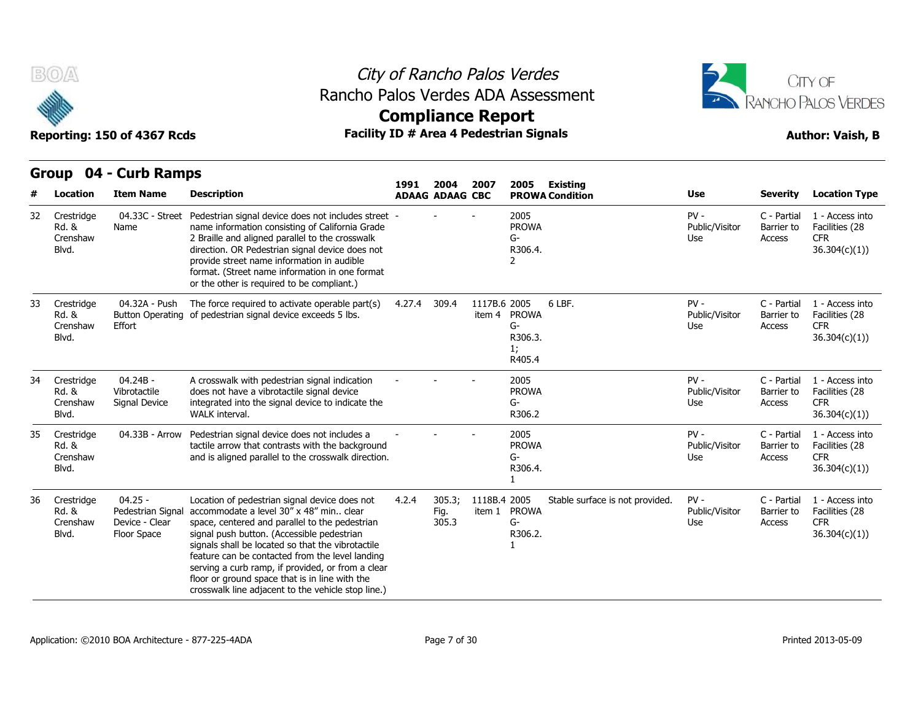

## City of Rancho Palos Verdes Rancho Palos Verdes ADA Assessment



# **Compliance Report**

|    |                                          | <b>CALD IMILIPS</b>                                             |                                                                                                                                                                                                                                                                                                                                                                                                                                                               | 1991   | 2004                    | 2007         | 2005<br><b>Existing</b>                                            |                                 |                                     |                                                                  |
|----|------------------------------------------|-----------------------------------------------------------------|---------------------------------------------------------------------------------------------------------------------------------------------------------------------------------------------------------------------------------------------------------------------------------------------------------------------------------------------------------------------------------------------------------------------------------------------------------------|--------|-------------------------|--------------|--------------------------------------------------------------------|---------------------------------|-------------------------------------|------------------------------------------------------------------|
|    | Location                                 | <b>Item Name</b>                                                | <b>Description</b>                                                                                                                                                                                                                                                                                                                                                                                                                                            |        | <b>ADAAG ADAAG CBC</b>  |              | <b>PROWA Condition</b>                                             | <b>Use</b>                      | <b>Severity</b>                     | <b>Location Type</b>                                             |
| 32 | Crestridge<br>Rd. &<br>Crenshaw<br>Blvd. | 04.33C - Street<br>Name                                         | Pedestrian signal device does not includes street -<br>name information consisting of California Grade<br>2 Braille and aligned parallel to the crosswalk<br>direction. OR Pedestrian signal device does not<br>provide street name information in audible<br>format. (Street name information in one format<br>or the other is required to be compliant.)                                                                                                    |        |                         |              | 2005<br><b>PROWA</b><br>$G-$<br>R306.4.<br>$\mathcal{P}$           | $PV -$<br>Public/Visitor<br>Use | C - Partial<br>Barrier to<br>Access | 1 - Access into<br>Facilities (28<br><b>CFR</b><br>36.304(c)(1)) |
| 33 | Crestridge<br>Rd. &<br>Crenshaw<br>Blvd. | 04.32A - Push<br><b>Button Operating</b><br>Effort              | The force required to activate operable part(s)<br>of pedestrian signal device exceeds 5 lbs.                                                                                                                                                                                                                                                                                                                                                                 | 4.27.4 | 309.4                   | 1117B.6 2005 | 6 LBF.<br>item 4 PROWA<br>$G-$<br>R306.3.<br>1;<br>R405.4          | $PV -$<br>Public/Visitor<br>Use | C - Partial<br>Barrier to<br>Access | 1 - Access into<br>Facilities (28<br><b>CFR</b><br>36.304(c)(1)  |
| 34 | Crestridge<br>Rd. &<br>Crenshaw<br>Blvd. | 04.24B-<br>Vibrotactile<br>Signal Device                        | A crosswalk with pedestrian signal indication<br>does not have a vibrotactile signal device<br>integrated into the signal device to indicate the<br>WALK interval.                                                                                                                                                                                                                                                                                            |        |                         |              | 2005<br><b>PROWA</b><br>G-<br>R306.2                               | $PV -$<br>Public/Visitor<br>Use | C - Partial<br>Barrier to<br>Access | 1 - Access into<br>Facilities (28<br><b>CFR</b><br>36.304(c)(1)  |
| 35 | Crestridge<br>Rd. &<br>Crenshaw<br>Blvd. | 04.33B - Arrow                                                  | Pedestrian signal device does not includes a<br>tactile arrow that contrasts with the background<br>and is aligned parallel to the crosswalk direction.                                                                                                                                                                                                                                                                                                       |        |                         |              | 2005<br><b>PROWA</b><br>$G-$<br>R306.4.                            | $PV -$<br>Public/Visitor<br>Use | C - Partial<br>Barrier to<br>Access | 1 - Access into<br>Facilities (28<br><b>CFR</b><br>36.304(c)(1)  |
| 36 | Crestridge<br>Rd. &<br>Crenshaw<br>Blvd. | $04.25 -$<br>Pedestrian Signal<br>Device - Clear<br>Floor Space | Location of pedestrian signal device does not<br>accommodate a level 30" x 48" min clear<br>space, centered and parallel to the pedestrian<br>signal push button. (Accessible pedestrian<br>signals shall be located so that the vibrotactile<br>feature can be contacted from the level landing<br>serving a curb ramp, if provided, or from a clear<br>floor or ground space that is in line with the<br>crosswalk line adjacent to the vehicle stop line.) | 4.2.4  | 305.3;<br>Fig.<br>305.3 | 1118B.4 2005 | Stable surface is not provided.<br>item 1 PROWA<br>$G-$<br>R306.2. | $PV -$<br>Public/Visitor<br>Use | C - Partial<br>Barrier to<br>Access | 1 - Access into<br>Facilities (28<br><b>CFR</b><br>36.304(c)(1)  |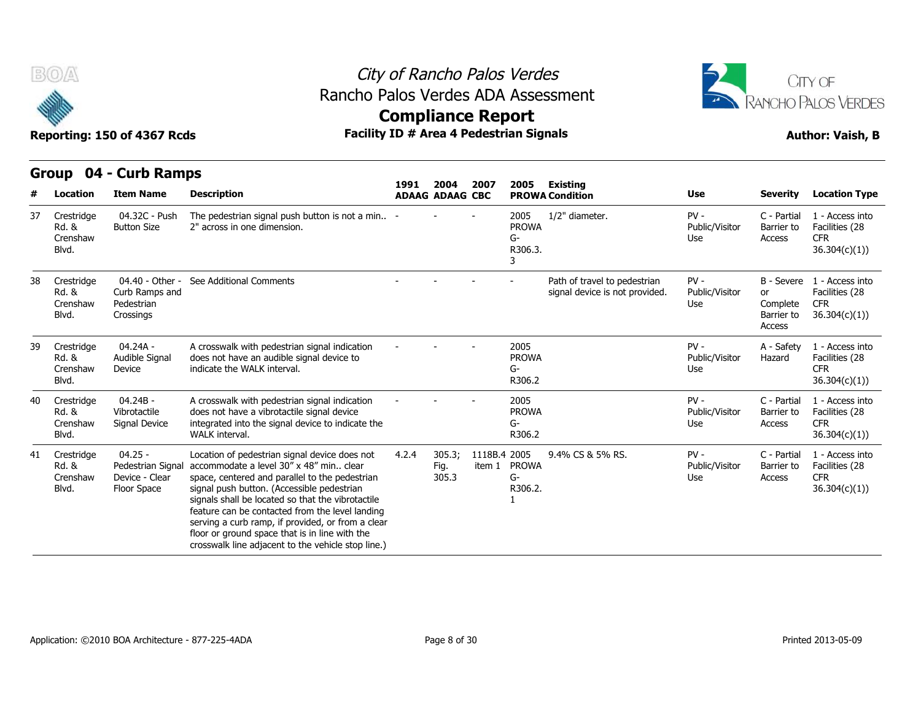

### City of Rancho Palos Verdes **Compliance Report** Rancho Palos Verdes ADA Assessment



Reporting: 150 of 4367 Rcds **Facility ID # Area 4 Pedestrian Signals Reporting: 150 of 4367 Rcds Author: Vaish, B** 

### **Group 04 - Curb Ramps**

|    | Location                                 | <b>Item Name</b>                                                | <b>Description</b>                                                                                                                                                                                                                                                                                                                                                                                                                                              | 1991<br><b>ADAAG ADAAG CBC</b> | 2004                    | 2007                   | 2005                                       | <b>Existing</b><br><b>PROWA Condition</b>                      | <b>Use</b>                      | <b>Severity</b>                                      | <b>Location Type</b>                                             |
|----|------------------------------------------|-----------------------------------------------------------------|-----------------------------------------------------------------------------------------------------------------------------------------------------------------------------------------------------------------------------------------------------------------------------------------------------------------------------------------------------------------------------------------------------------------------------------------------------------------|--------------------------------|-------------------------|------------------------|--------------------------------------------|----------------------------------------------------------------|---------------------------------|------------------------------------------------------|------------------------------------------------------------------|
| 37 | Crestridge<br>Rd. &<br>Crenshaw<br>Blvd. | 04.32C - Push<br><b>Button Size</b>                             | The pedestrian signal push button is not a min $-$<br>2" across in one dimension.                                                                                                                                                                                                                                                                                                                                                                               |                                |                         |                        | 2005<br><b>PROWA</b><br>G-<br>R306.3.<br>3 | 1/2" diameter.                                                 | $PV -$<br>Public/Visitor<br>Use | C - Partial<br>Barrier to<br>Access                  | 1 - Access into<br>Facilities (28<br><b>CFR</b><br>36.304(c)(1)  |
| 38 | Crestridge<br>Rd. &<br>Crenshaw<br>Blvd. | 04.40 - Other -<br>Curb Ramps and<br>Pedestrian<br>Crossings    | See Additional Comments                                                                                                                                                                                                                                                                                                                                                                                                                                         |                                |                         |                        |                                            | Path of travel to pedestrian<br>signal device is not provided. | $PV -$<br>Public/Visitor<br>Use | B - Severe<br>or<br>Complete<br>Barrier to<br>Access | 1 - Access into<br>Facilities (28<br><b>CFR</b><br>36.304(c)(1)) |
| 39 | Crestridge<br>Rd. &<br>Crenshaw<br>Blvd. | 04.24A -<br>Audible Signal<br>Device                            | A crosswalk with pedestrian signal indication<br>does not have an audible signal device to<br>indicate the WALK interval.                                                                                                                                                                                                                                                                                                                                       |                                |                         |                        | 2005<br><b>PROWA</b><br>G-<br>R306.2       |                                                                | $PV -$<br>Public/Visitor<br>Use | A - Safety<br>Hazard                                 | 1 - Access into<br>Facilities (28<br><b>CFR</b><br>36.304(c)(1)  |
| 40 | Crestridge<br>Rd. &<br>Crenshaw<br>Blvd. | 04.24B -<br>Vibrotactile<br>Signal Device                       | A crosswalk with pedestrian signal indication<br>does not have a vibrotactile signal device<br>integrated into the signal device to indicate the<br><b>WALK</b> interval.                                                                                                                                                                                                                                                                                       |                                |                         |                        | 2005<br><b>PROWA</b><br>G-<br>R306.2       |                                                                | $PV -$<br>Public/Visitor<br>Use | C - Partial<br>Barrier to<br>Access                  | 1 - Access into<br>Facilities (28<br><b>CFR</b><br>36.304(c)(1)  |
| 41 | Crestridge<br>Rd. &<br>Crenshaw<br>Blvd. | $04.25 -$<br>Pedestrian Signal<br>Device - Clear<br>Floor Space | Location of pedestrian signal device does not<br>accommodate a level 30" x 48" min., clear<br>space, centered and parallel to the pedestrian<br>signal push button. (Accessible pedestrian<br>signals shall be located so that the vibrotactile<br>feature can be contacted from the level landing<br>serving a curb ramp, if provided, or from a clear<br>floor or ground space that is in line with the<br>crosswalk line adjacent to the vehicle stop line.) | 4.2.4                          | 305.3;<br>Fig.<br>305.3 | 1118B.4 2005<br>item 1 | <b>PROWA</b><br>G-<br>R306.2.              | 9.4% CS & 5% RS.                                               | $PV -$<br>Public/Visitor<br>Use | C - Partial<br>Barrier to<br>Access                  | 1 - Access into<br>Facilities (28<br><b>CFR</b><br>36.304(c)(1)  |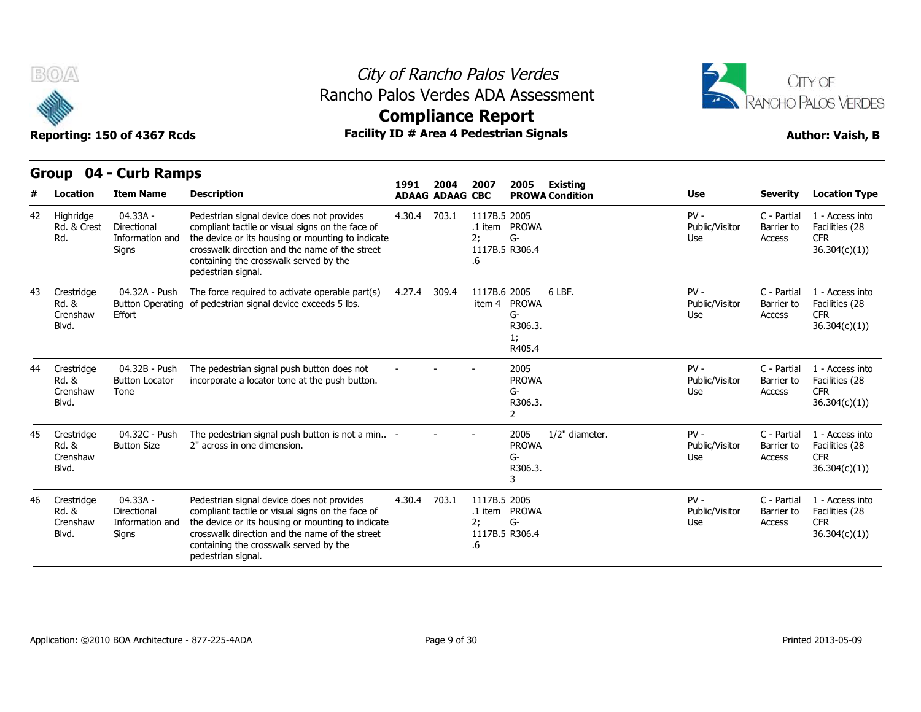

### City of Rancho Palos Verdes Rancho Palos Verdes ADA Assessment



# **Compliance Report**

|    |                                          |                                                     |                                                                                                                                                                                                                                                                       | 1991   | 2004                   | 2007                                       | 2005                                                      | <b>Existing</b>        |                                 |                                     |                                                                  |
|----|------------------------------------------|-----------------------------------------------------|-----------------------------------------------------------------------------------------------------------------------------------------------------------------------------------------------------------------------------------------------------------------------|--------|------------------------|--------------------------------------------|-----------------------------------------------------------|------------------------|---------------------------------|-------------------------------------|------------------------------------------------------------------|
|    | Location                                 | <b>Item Name</b>                                    | <b>Description</b>                                                                                                                                                                                                                                                    |        | <b>ADAAG ADAAG CBC</b> |                                            |                                                           | <b>PROWA Condition</b> | <b>Use</b>                      | <b>Severity</b>                     | <b>Location Type</b>                                             |
| 42 | Highridge<br>Rd. & Crest<br>Rd.          | 04.33A -<br>Directional<br>Information and<br>Signs | Pedestrian signal device does not provides<br>compliant tactile or visual signs on the face of<br>the device or its housing or mounting to indicate<br>crosswalk direction and the name of the street<br>containing the crosswalk served by the<br>pedestrian signal. | 4.30.4 | 703.1                  | 1117B.5 2005<br>2:<br>1117B.5 R306.4<br>.6 | .1 item PROWA<br>$G-$                                     |                        | $PV -$<br>Public/Visitor<br>Use | C - Partial<br>Barrier to<br>Access | 1 - Access into<br>Facilities (28<br><b>CFR</b><br>36.304(c)(1)) |
| 43 | Crestridge<br>Rd. &<br>Crenshaw<br>Blvd. | 04.32A - Push<br><b>Button Operating</b><br>Effort  | The force required to activate operable part(s)<br>of pedestrian signal device exceeds 5 lbs.                                                                                                                                                                         | 4.27.4 | 309.4                  | 1117B.6 2005<br>item 4                     | <b>PROWA</b><br>$G-$<br>R306.3.<br>1;<br>R405.4           | 6 LBF.                 | $PV -$<br>Public/Visitor<br>Use | C - Partial<br>Barrier to<br>Access | 1 - Access into<br>Facilities (28<br><b>CFR</b><br>36.304(c)(1)) |
| 44 | Crestridge<br>Rd. &<br>Crenshaw<br>Blvd. | 04.32B - Push<br><b>Button Locator</b><br>Tone      | The pedestrian signal push button does not<br>incorporate a locator tone at the push button.                                                                                                                                                                          |        |                        |                                            | 2005<br><b>PROWA</b><br>$G-$<br>R306.3.<br>$\overline{2}$ |                        | $PV -$<br>Public/Visitor<br>Use | C - Partial<br>Barrier to<br>Access | 1 - Access into<br>Facilities (28<br><b>CFR</b><br>36.304(c)(1)) |
| 45 | Crestridge<br>Rd. &<br>Crenshaw<br>Blvd. | 04.32C - Push<br><b>Button Size</b>                 | The pedestrian signal push button is not a min -<br>2" across in one dimension.                                                                                                                                                                                       |        |                        |                                            | 2005<br><b>PROWA</b><br>$G-$<br>R306.3.<br>3              | 1/2" diameter.         | $PV -$<br>Public/Visitor<br>Use | C - Partial<br>Barrier to<br>Access | 1 - Access into<br>Facilities (28<br><b>CFR</b><br>36.304(c)(1)  |
| 46 | Crestridge<br>Rd. &<br>Crenshaw<br>Blvd. | 04.33A -<br>Directional<br>Information and<br>Signs | Pedestrian signal device does not provides<br>compliant tactile or visual signs on the face of<br>the device or its housing or mounting to indicate<br>crosswalk direction and the name of the street<br>containing the crosswalk served by the<br>pedestrian signal. | 4.30.4 | 703.1                  | 1117B.5 2005<br>2:<br>1117B.5 R306.4<br>.6 | .1 item PROWA<br>$G-$                                     |                        | $PV -$<br>Public/Visitor<br>Use | C - Partial<br>Barrier to<br>Access | 1 - Access into<br>Facilities (28<br><b>CFR</b><br>36.304(c)(1)) |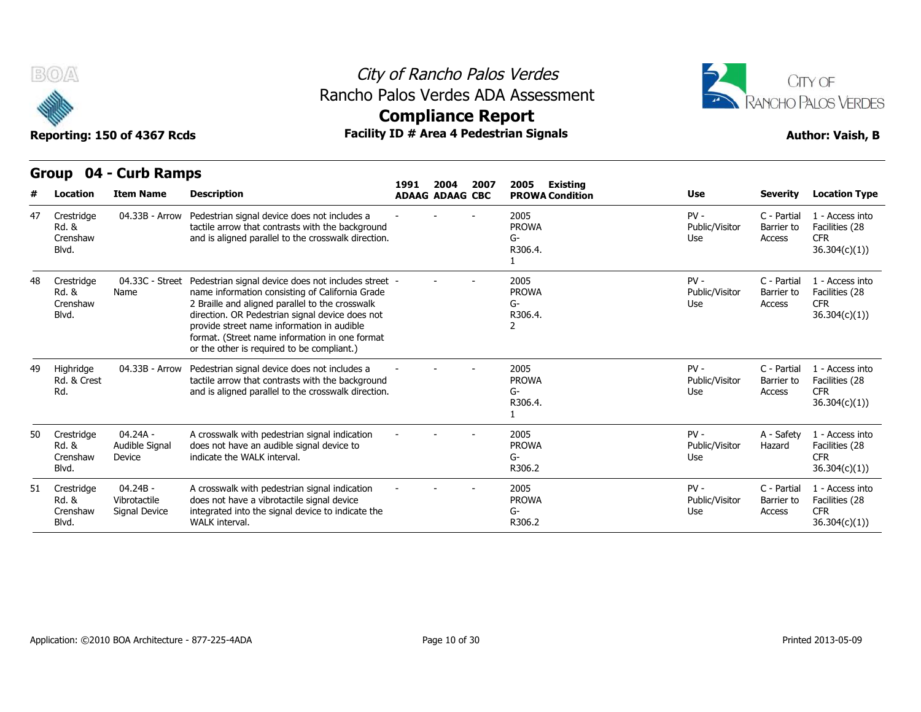

## City of Rancho Palos Verdes Rancho Palos Verdes ADA Assessment



# **Compliance Report**

|    | B(0)                                     |                                             |                                                                                                                                                                                                                                                                                                                                                            |                          |                        |      | City of Rancho Palos Verdes                    |                                 |                                     | <b>CITY OF</b>                                                   |
|----|------------------------------------------|---------------------------------------------|------------------------------------------------------------------------------------------------------------------------------------------------------------------------------------------------------------------------------------------------------------------------------------------------------------------------------------------------------------|--------------------------|------------------------|------|------------------------------------------------|---------------------------------|-------------------------------------|------------------------------------------------------------------|
|    |                                          |                                             |                                                                                                                                                                                                                                                                                                                                                            | <b>Compliance Report</b> |                        |      | Rancho Palos Verdes ADA Assessment             |                                 |                                     | RANCHO PALOS VERDES                                              |
|    |                                          | Reporting: 150 of 4367 Rcds                 |                                                                                                                                                                                                                                                                                                                                                            |                          |                        |      | <b>Facility ID # Area 4 Pedestrian Signals</b> |                                 |                                     | <b>Author: Vaish, B</b>                                          |
|    | Group                                    | 04 - Curb Ramps                             |                                                                                                                                                                                                                                                                                                                                                            | 1991                     | 2004                   | 2007 | 2005<br>Existing                               |                                 |                                     |                                                                  |
|    | Location                                 | <b>Item Name</b>                            | <b>Description</b>                                                                                                                                                                                                                                                                                                                                         |                          | <b>ADAAG ADAAG CBC</b> |      | <b>PROWA Condition</b>                         | Use                             | <b>Severity</b>                     | <b>Location Type</b>                                             |
| 47 | Crestridge<br>Rd. &<br>Crenshaw<br>Blvd. | 04.33B - Arrow                              | Pedestrian signal device does not includes a<br>tactile arrow that contrasts with the background<br>and is aligned parallel to the crosswalk direction.                                                                                                                                                                                                    |                          |                        |      | 2005<br><b>PROWA</b><br>G-<br>R306.4.          | $PV -$<br>Public/Visitor<br>Use | C - Partial<br>Barrier to<br>Access | 1 - Access into<br>Facilities (28<br><b>CFR</b><br>36.304(c)(1)  |
| 48 | Crestridge<br>Rd. &<br>Crenshaw<br>Blvd. | 04.33C - Street<br>Name                     | Pedestrian signal device does not includes street -<br>name information consisting of California Grade<br>2 Braille and aligned parallel to the crosswalk<br>direction. OR Pedestrian signal device does not<br>provide street name information in audible<br>format. (Street name information in one format<br>or the other is required to be compliant.) |                          |                        |      | 2005<br><b>PROWA</b><br>G-<br>R306.4.<br>2     | $PV -$<br>Public/Visitor<br>Use | C - Partial<br>Barrier to<br>Access | 1 - Access into<br>Facilities (28<br><b>CFR</b><br>36.304(c)(1)) |
| 49 | Highridge<br>Rd. & Crest<br>Rd.          | 04.33B - Arrow                              | Pedestrian signal device does not includes a<br>tactile arrow that contrasts with the background<br>and is aligned parallel to the crosswalk direction.                                                                                                                                                                                                    |                          |                        |      | 2005<br><b>PROWA</b><br>G-<br>R306.4.<br>1     | $PV -$<br>Public/Visitor<br>Use | C - Partial<br>Barrier to<br>Access | 1 - Access into<br>Facilities (28<br><b>CFR</b><br>36.304(c)(1)) |
| 50 | Crestridge<br>Rd. &<br>Crenshaw<br>Blvd. | 04.24A -<br>Audible Signal<br>Device        | A crosswalk with pedestrian signal indication<br>does not have an audible signal device to<br>indicate the WALK interval.                                                                                                                                                                                                                                  |                          |                        |      | 2005<br><b>PROWA</b><br>G-<br>R306.2           | $PV -$<br>Public/Visitor<br>Use | A - Safety<br>Hazard                | 1 - Access into<br>Facilities (28<br><b>CFR</b><br>36.304(c)(1)) |
| 51 | Crestridge<br>Rd. &<br>Crenshaw<br>Blvd. | $04.24B -$<br>Vibrotactile<br>Signal Device | A crosswalk with pedestrian signal indication<br>does not have a vibrotactile signal device<br>integrated into the signal device to indicate the<br>WALK interval.                                                                                                                                                                                         |                          |                        |      | 2005<br><b>PROWA</b><br>G-<br>R306.2           | $PV -$<br>Public/Visitor<br>Use | C - Partial<br>Barrier to<br>Access | 1 - Access into<br>Facilities (28<br><b>CFR</b><br>36.304(c)(1)  |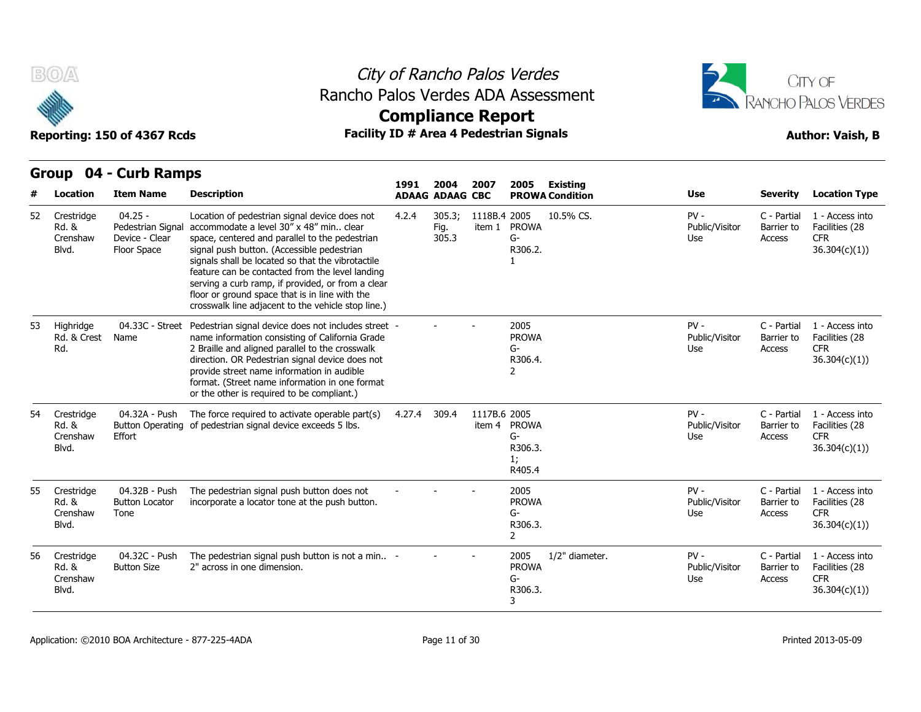

### City of Rancho Palos Verdes Rancho Palos Verdes ADA Assessment



Reporting: 150 of 4367 Rcds **Facility ID # Area 4 Pedestrian Signals Facility ID # Area 4 Pedestrian Signals Author: Vaish, B** 



|    |                                          | GIUUP UT - CUID NAIIIPS                                         |                                                                                                                                                                                                                                                                                                                                                                                                                                                               | 1991   | 2004                    | 2007         | 2005                                                      | Existing               |                                 |                                     |                                                                  |
|----|------------------------------------------|-----------------------------------------------------------------|---------------------------------------------------------------------------------------------------------------------------------------------------------------------------------------------------------------------------------------------------------------------------------------------------------------------------------------------------------------------------------------------------------------------------------------------------------------|--------|-------------------------|--------------|-----------------------------------------------------------|------------------------|---------------------------------|-------------------------------------|------------------------------------------------------------------|
|    | <b>Location</b>                          | <b>Item Name</b>                                                | <b>Description</b>                                                                                                                                                                                                                                                                                                                                                                                                                                            |        | <b>ADAAG ADAAG CBC</b>  |              |                                                           | <b>PROWA Condition</b> | <b>Use</b>                      | <b>Severity</b>                     | <b>Location Type</b>                                             |
| 52 | Crestridge<br>Rd. &<br>Crenshaw<br>Blvd. | $04.25 -$<br>Pedestrian Signal<br>Device - Clear<br>Floor Space | Location of pedestrian signal device does not<br>accommodate a level 30" x 48" min clear<br>space, centered and parallel to the pedestrian<br>signal push button. (Accessible pedestrian<br>signals shall be located so that the vibrotactile<br>feature can be contacted from the level landing<br>serving a curb ramp, if provided, or from a clear<br>floor or ground space that is in line with the<br>crosswalk line adjacent to the vehicle stop line.) | 4.2.4  | 305.3;<br>Fig.<br>305.3 | 1118B.4 2005 | item 1 PROWA<br>$G-$<br>R306.2.                           | 10.5% CS.              | $PV -$<br>Public/Visitor<br>Use | C - Partial<br>Barrier to<br>Access | 1 - Access into<br>Facilities (28<br><b>CFR</b><br>36.304(c)(1)) |
| 53 | Highridge<br>Rd. & Crest<br>Rd.          | 04.33C - Street<br>Name                                         | Pedestrian signal device does not includes street -<br>name information consisting of California Grade<br>2 Braille and aligned parallel to the crosswalk<br>direction. OR Pedestrian signal device does not<br>provide street name information in audible<br>format. (Street name information in one format<br>or the other is required to be compliant.)                                                                                                    |        |                         |              | 2005<br><b>PROWA</b><br>G-<br>R306.4.<br>2                |                        | $PV -$<br>Public/Visitor<br>Use | C - Partial<br>Barrier to<br>Access | 1 - Access into<br>Facilities (28<br><b>CFR</b><br>36.304(c)(1)  |
| 54 | Crestridge<br>Rd. &<br>Crenshaw<br>Blvd. | 04.32A - Push<br>Effort                                         | The force required to activate operable part(s)<br>Button Operating of pedestrian signal device exceeds 5 lbs.                                                                                                                                                                                                                                                                                                                                                | 4.27.4 | 309.4                   | 1117B.6 2005 | item 4 PROWA<br>$G-$<br>R306.3.<br>1;<br>R405.4           |                        | $PV -$<br>Public/Visitor<br>Use | C - Partial<br>Barrier to<br>Access | 1 - Access into<br>Facilities (28<br><b>CFR</b><br>36.304(c)(1)  |
| 55 | Crestridge<br>Rd. &<br>Crenshaw<br>Blvd. | 04.32B - Push<br><b>Button Locator</b><br>Tone                  | The pedestrian signal push button does not<br>incorporate a locator tone at the push button.                                                                                                                                                                                                                                                                                                                                                                  |        |                         |              | 2005<br><b>PROWA</b><br>$G-$<br>R306.3.<br>$\overline{2}$ |                        | $PV -$<br>Public/Visitor<br>Use | C - Partial<br>Barrier to<br>Access | 1 - Access into<br>Facilities (28<br><b>CFR</b><br>36.304(c)(1)  |
| 56 | Crestridge<br>Rd. &<br>Crenshaw<br>Blvd. | 04.32C - Push<br><b>Button Size</b>                             | The pedestrian signal push button is not a min -<br>2" across in one dimension.                                                                                                                                                                                                                                                                                                                                                                               |        |                         |              | 2005<br><b>PROWA</b><br>G-<br>R306.3.<br>3                | 1/2" diameter.         | $PV -$<br>Public/Visitor<br>Use | C - Partial<br>Barrier to<br>Access | 1 - Access into<br>Facilities (28<br><b>CFR</b><br>36.304(c)(1)  |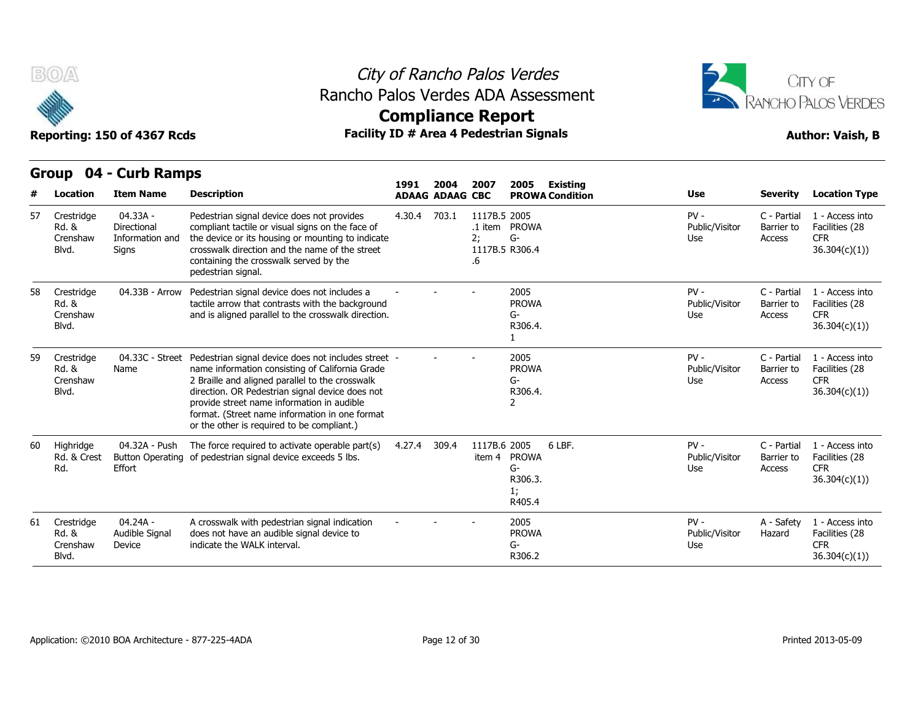

### City of Rancho Palos Verdes Rancho Palos Verdes ADA Assessment



# **Compliance Report**

|    | <b>Group</b>                             | 04 - Curb Ramps                                            |                                                                                                                                                                                                                                                                                                                                                            |        |                                |                          |                                                         |                                 |                                     |                                                                  |
|----|------------------------------------------|------------------------------------------------------------|------------------------------------------------------------------------------------------------------------------------------------------------------------------------------------------------------------------------------------------------------------------------------------------------------------------------------------------------------------|--------|--------------------------------|--------------------------|---------------------------------------------------------|---------------------------------|-------------------------------------|------------------------------------------------------------------|
|    | Location                                 | <b>Item Name</b>                                           | <b>Description</b>                                                                                                                                                                                                                                                                                                                                         | 1991   | 2004<br><b>ADAAG ADAAG CBC</b> | 2007                     | 2005<br><b>Existing</b><br><b>PROWA Condition</b>       | <b>Use</b>                      | <b>Severity</b>                     | <b>Location Type</b>                                             |
| 57 | Crestridge<br>Rd. &<br>Crenshaw<br>Blvd. | 04.33A -<br>Directional<br>Information and<br><b>Signs</b> | Pedestrian signal device does not provides<br>compliant tactile or visual signs on the face of<br>the device or its housing or mounting to indicate<br>crosswalk direction and the name of the street<br>containing the crosswalk served by the<br>pedestrian signal.                                                                                      | 4.30.4 | 703.1                          | 1117B.5 2005<br>2;<br>.6 | .1 item PROWA<br>G-<br>1117B.5 R306.4                   | $PV -$<br>Public/Visitor<br>Use | C - Partial<br>Barrier to<br>Access | 1 - Access into<br>Facilities (28<br><b>CFR</b><br>36.304(c)(1)  |
| 58 | Crestridge<br>Rd. &<br>Crenshaw<br>Blvd. | 04.33B - Arrow                                             | Pedestrian signal device does not includes a<br>tactile arrow that contrasts with the background<br>and is aligned parallel to the crosswalk direction.                                                                                                                                                                                                    |        |                                |                          | 2005<br><b>PROWA</b><br>G-<br>R306.4.                   | $PV -$<br>Public/Visitor<br>Use | C - Partial<br>Barrier to<br>Access | 1 - Access into<br>Facilities (28<br><b>CFR</b><br>36.304(c)(1)) |
| 59 | Crestridge<br>Rd. &<br>Crenshaw<br>Blvd. | 04.33C - Street<br>Name                                    | Pedestrian signal device does not includes street -<br>name information consisting of California Grade<br>2 Braille and aligned parallel to the crosswalk<br>direction. OR Pedestrian signal device does not<br>provide street name information in audible<br>format. (Street name information in one format<br>or the other is required to be compliant.) |        |                                |                          | 2005<br><b>PROWA</b><br>G-<br>R306.4.<br>2              | $PV -$<br>Public/Visitor<br>Use | C - Partial<br>Barrier to<br>Access | 1 - Access into<br>Facilities (28<br><b>CFR</b><br>36.304(c)(1)) |
| 60 | Highridge<br>Rd. & Crest<br>Rd.          | 04.32A - Push<br>Effort                                    | The force required to activate operable part(s)<br>Button Operating of pedestrian signal device exceeds 5 lbs.                                                                                                                                                                                                                                             | 4.27.4 | 309.4                          | 1117B.6 2005<br>item 4   | 6 LBF.<br><b>PROWA</b><br>G-<br>R306.3.<br>1;<br>R405.4 | $PV -$<br>Public/Visitor<br>Use | C - Partial<br>Barrier to<br>Access | 1 - Access into<br>Facilities (28<br><b>CFR</b><br>36.304(c)(1)  |
| 61 | Crestridge<br>Rd. &<br>Crenshaw<br>Blvd. | 04.24A -<br>Audible Signal<br>Device                       | A crosswalk with pedestrian signal indication<br>does not have an audible signal device to<br>indicate the WALK interval.                                                                                                                                                                                                                                  |        |                                |                          | 2005<br><b>PROWA</b><br>G-<br>R306.2                    | $PV -$<br>Public/Visitor<br>Use | A - Safety<br>Hazard                | 1 - Access into<br>Facilities (28<br><b>CFR</b><br>36.304(c)(1)  |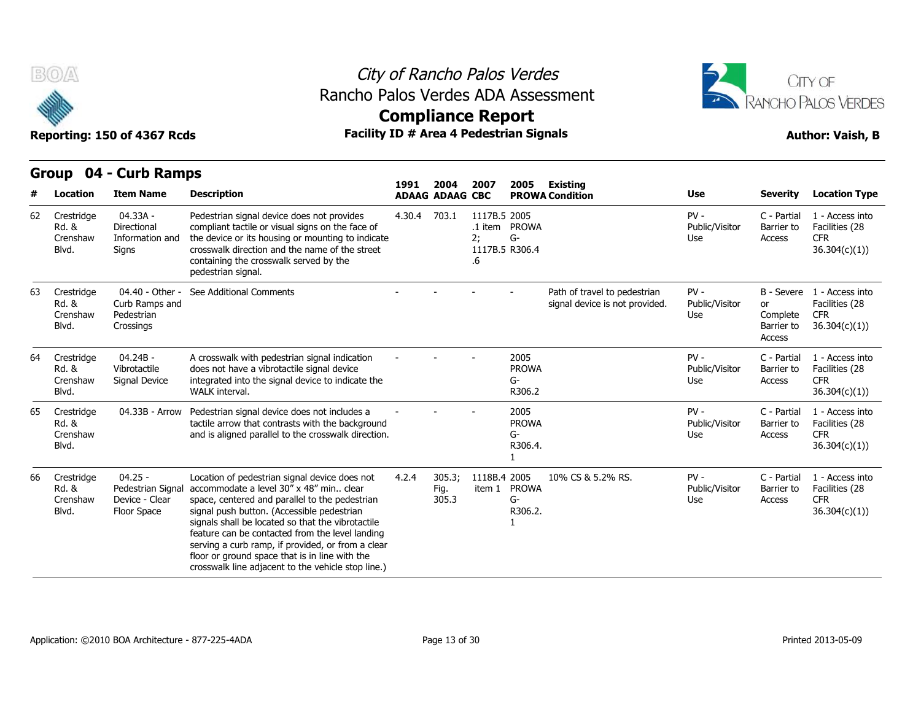

### City of Rancho Palos Verdes Rancho Palos Verdes ADA Assessment



# **Compliance Report**

|    |                                          |                                                                 |                                                                                                                                                                                                                                                                                                                                                                                                                                                                 | 1991   | 2004                    | 2007                                       | 2005                                  | <b>Existing</b>                                                |                                 |                                                      |                                                                  |
|----|------------------------------------------|-----------------------------------------------------------------|-----------------------------------------------------------------------------------------------------------------------------------------------------------------------------------------------------------------------------------------------------------------------------------------------------------------------------------------------------------------------------------------------------------------------------------------------------------------|--------|-------------------------|--------------------------------------------|---------------------------------------|----------------------------------------------------------------|---------------------------------|------------------------------------------------------|------------------------------------------------------------------|
|    | <b>Location</b>                          | <b>Item Name</b>                                                | <b>Description</b>                                                                                                                                                                                                                                                                                                                                                                                                                                              |        | <b>ADAAG ADAAG CBC</b>  |                                            |                                       | <b>PROWA Condition</b>                                         | <b>Use</b>                      | <b>Severity</b>                                      | <b>Location Type</b>                                             |
| 62 | Crestridge<br>Rd. &<br>Crenshaw<br>Blvd. | 04.33A -<br>Directional<br>Information and<br>Signs             | Pedestrian signal device does not provides<br>compliant tactile or visual signs on the face of<br>the device or its housing or mounting to indicate<br>crosswalk direction and the name of the street<br>containing the crosswalk served by the<br>pedestrian signal.                                                                                                                                                                                           | 4.30.4 | 703.1                   | 1117B.5 2005<br>2:<br>1117B.5 R306.4<br>.6 | .1 item PROWA<br>G-                   |                                                                | $PV -$<br>Public/Visitor<br>Use | C - Partial<br>Barrier to<br>Access                  | 1 - Access into<br>Facilities (28<br><b>CFR</b><br>36.304(c)(1)  |
| 63 | Crestridge<br>Rd. &<br>Crenshaw<br>Blvd. | 04.40 - Other -<br>Curb Ramps and<br>Pedestrian<br>Crossings    | See Additional Comments                                                                                                                                                                                                                                                                                                                                                                                                                                         |        |                         |                                            |                                       | Path of travel to pedestrian<br>signal device is not provided. | $PV -$<br>Public/Visitor<br>Use | B - Severe<br>or<br>Complete<br>Barrier to<br>Access | 1 - Access into<br>Facilities (28<br><b>CFR</b><br>36.304(c)(1)  |
| 64 | Crestridge<br>Rd. &<br>Crenshaw<br>Blvd. | $04.24B -$<br>Vibrotactile<br>Signal Device                     | A crosswalk with pedestrian signal indication<br>does not have a vibrotactile signal device<br>integrated into the signal device to indicate the<br>WALK interval.                                                                                                                                                                                                                                                                                              |        |                         |                                            | 2005<br><b>PROWA</b><br>G-<br>R306.2  |                                                                | $PV -$<br>Public/Visitor<br>Use | C - Partial<br>Barrier to<br>Access                  | 1 - Access into<br>Facilities (28<br><b>CFR</b><br>36.304(c)(1)) |
| 65 | Crestridge<br>Rd. &<br>Crenshaw<br>Blvd. | 04.33B - Arrow                                                  | Pedestrian signal device does not includes a<br>tactile arrow that contrasts with the background<br>and is aligned parallel to the crosswalk direction.                                                                                                                                                                                                                                                                                                         |        |                         |                                            | 2005<br><b>PROWA</b><br>G-<br>R306.4. |                                                                | $PV -$<br>Public/Visitor<br>Use | C - Partial<br>Barrier to<br>Access                  | 1 - Access into<br>Facilities (28<br><b>CFR</b><br>36.304(c)(1)  |
| 66 | Crestridge<br>Rd. &<br>Crenshaw<br>Blvd. | $04.25 -$<br>Pedestrian Signal<br>Device - Clear<br>Floor Space | Location of pedestrian signal device does not<br>accommodate a level 30" x 48" min., clear<br>space, centered and parallel to the pedestrian<br>signal push button. (Accessible pedestrian<br>signals shall be located so that the vibrotactile<br>feature can be contacted from the level landing<br>serving a curb ramp, if provided, or from a clear<br>floor or ground space that is in line with the<br>crosswalk line adjacent to the vehicle stop line.) | 4.2.4  | 305.3;<br>Fig.<br>305.3 | 1118B.4 2005                               | item 1 PROWA<br>G-<br>R306.2.         | 10% CS & 5.2% RS.                                              | $PV -$<br>Public/Visitor<br>Use | C - Partial<br>Barrier to<br>Access                  | 1 - Access into<br>Facilities (28<br><b>CFR</b><br>36.304(c)(1)  |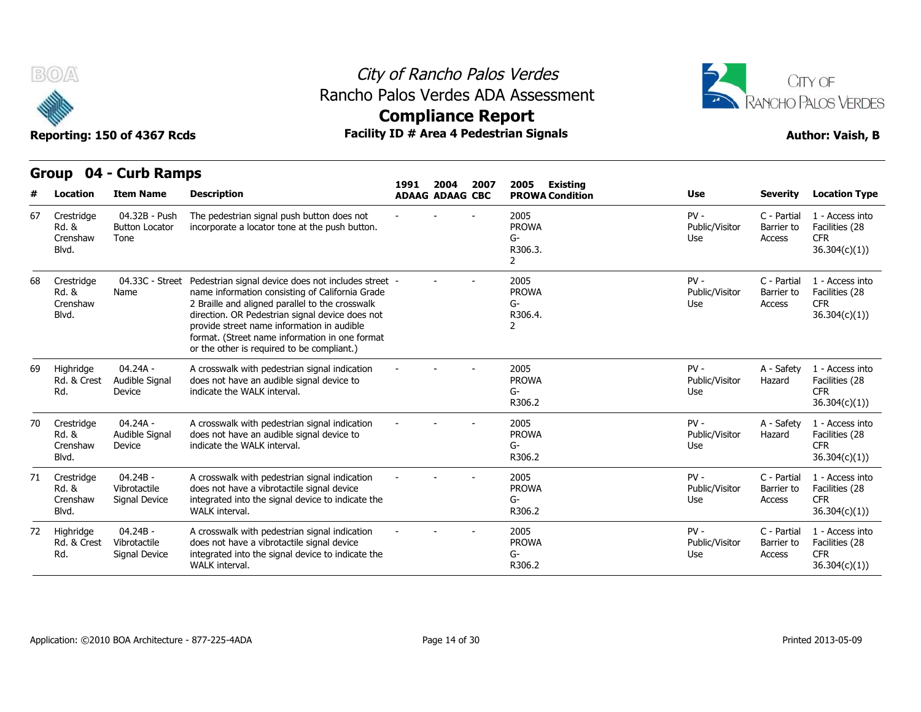



### **Compliance Report**

|    | <b>Group</b>                             | 04 - Curb Ramps                                |                                                                                                                                                                                                                                                                                                                                                            |      |                                |      |                                            |                                 |                                            |                                                                  |
|----|------------------------------------------|------------------------------------------------|------------------------------------------------------------------------------------------------------------------------------------------------------------------------------------------------------------------------------------------------------------------------------------------------------------------------------------------------------------|------|--------------------------------|------|--------------------------------------------|---------------------------------|--------------------------------------------|------------------------------------------------------------------|
|    | Location                                 | <b>Item Name</b>                               | <b>Description</b>                                                                                                                                                                                                                                                                                                                                         | 1991 | 2004<br><b>ADAAG ADAAG CBC</b> | 2007 | 2005<br>Existing<br><b>PROWA Condition</b> | <b>Use</b>                      | <b>Severity</b>                            | <b>Location Type</b>                                             |
| 67 | Crestridge<br>Rd. &<br>Crenshaw<br>Blvd. | 04.32B - Push<br><b>Button Locator</b><br>Tone | The pedestrian signal push button does not<br>incorporate a locator tone at the push button.                                                                                                                                                                                                                                                               |      |                                |      | 2005<br><b>PROWA</b><br>G-<br>R306.3.<br>2 | $PV -$<br>Public/Visitor<br>Use | C - Partial<br>Barrier to<br>Access        | 1 - Access into<br>Facilities (28<br><b>CFR</b><br>36.304(c)(1)) |
| 68 | Crestridge<br>Rd. &<br>Crenshaw<br>Blvd. | 04.33C - Street<br>Name                        | Pedestrian signal device does not includes street -<br>name information consisting of California Grade<br>2 Braille and aligned parallel to the crosswalk<br>direction. OR Pedestrian signal device does not<br>provide street name information in audible<br>format. (Street name information in one format<br>or the other is required to be compliant.) |      |                                |      | 2005<br><b>PROWA</b><br>$G-$<br>R306.4.    | $PV -$<br>Public/Visitor<br>Use | C - Partial<br>Barrier to<br><b>Access</b> | 1 - Access into<br>Facilities (28<br><b>CFR</b><br>36.304(c)(1)  |
| 69 | Highridge<br>Rd. & Crest<br>Rd.          | $04.24A -$<br>Audible Signal<br>Device         | A crosswalk with pedestrian signal indication<br>does not have an audible signal device to<br>indicate the WALK interval.                                                                                                                                                                                                                                  |      |                                |      | 2005<br><b>PROWA</b><br>G-<br>R306.2       | $PV -$<br>Public/Visitor<br>Use | A - Safety<br>Hazard                       | 1 - Access into<br>Facilities (28<br><b>CFR</b><br>36.304(c)(1)) |
| 70 | Crestridge<br>Rd. &<br>Crenshaw<br>Blvd. | $04.24A -$<br>Audible Signal<br>Device         | A crosswalk with pedestrian signal indication<br>does not have an audible signal device to<br>indicate the WALK interval.                                                                                                                                                                                                                                  |      |                                |      | 2005<br><b>PROWA</b><br>G-<br>R306.2       | $PV -$<br>Public/Visitor<br>Use | A - Safety<br>Hazard                       | 1 - Access into<br>Facilities (28<br><b>CFR</b><br>36.304(c)(1)) |
| 71 | Crestridge<br>Rd. &<br>Crenshaw<br>Blvd. | $04.24B -$<br>Vibrotactile<br>Signal Device    | A crosswalk with pedestrian signal indication<br>does not have a vibrotactile signal device<br>integrated into the signal device to indicate the<br>WALK interval.                                                                                                                                                                                         |      |                                |      | 2005<br><b>PROWA</b><br>G-<br>R306.2       | $PV -$<br>Public/Visitor<br>Use | C - Partial<br>Barrier to<br>Access        | 1 - Access into<br>Facilities (28<br><b>CFR</b><br>36.304(c)(1)  |
| 72 | Highridge<br>Rd. & Crest<br>Rd.          | 04.24B -<br>Vibrotactile<br>Signal Device      | A crosswalk with pedestrian signal indication<br>does not have a vibrotactile signal device<br>integrated into the signal device to indicate the<br>WALK interval.                                                                                                                                                                                         |      |                                |      | 2005<br><b>PROWA</b><br>G-<br>R306.2       | $PV -$<br>Public/Visitor<br>Use | C - Partial<br>Barrier to<br>Access        | 1 - Access into<br>Facilities (28<br><b>CFR</b><br>36.304(c)(1)  |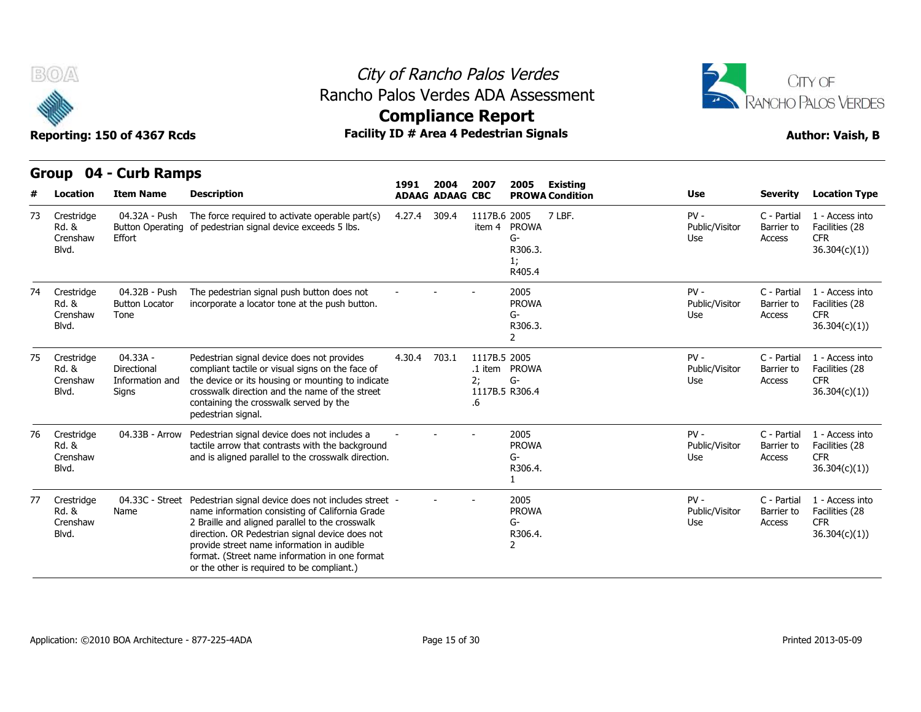

### City of Rancho Palos Verdes Rancho Palos Verdes ADA Assessment



**Compliance Report**

|    | urvup<br>VT.                             | <b>CAID RAILDS</b>                                  |                                                                                                                                                                                                                                                                                                                                                            | 1991   | 2004                   | 2007                     | 2005                                          | Existing               |                                 |                                     |                                                                  |
|----|------------------------------------------|-----------------------------------------------------|------------------------------------------------------------------------------------------------------------------------------------------------------------------------------------------------------------------------------------------------------------------------------------------------------------------------------------------------------------|--------|------------------------|--------------------------|-----------------------------------------------|------------------------|---------------------------------|-------------------------------------|------------------------------------------------------------------|
|    | Location                                 | <b>Item Name</b>                                    | <b>Description</b>                                                                                                                                                                                                                                                                                                                                         |        | <b>ADAAG ADAAG CBC</b> |                          |                                               | <b>PROWA Condition</b> | <b>Use</b>                      | <b>Severity</b>                     | <b>Location Type</b>                                             |
| 73 | Crestridge<br>Rd. &<br>Crenshaw<br>Blvd. | 04.32A - Push<br><b>Button Operating</b><br>Effort  | The force required to activate operable part(s)<br>of pedestrian signal device exceeds 5 lbs.                                                                                                                                                                                                                                                              | 4.27.4 | 309.4                  | 1117B.6 2005<br>item 4   | <b>PROWA</b><br>G-<br>R306.3.<br>1;<br>R405.4 | 7 LBF.                 | $PV -$<br>Public/Visitor<br>Use | C - Partial<br>Barrier to<br>Access | 1 - Access into<br>Facilities (28<br><b>CFR</b><br>36.304(c)(1)  |
| 74 | Crestridge<br>Rd. &<br>Crenshaw<br>Blvd. | 04.32B - Push<br><b>Button Locator</b><br>Tone      | The pedestrian signal push button does not<br>incorporate a locator tone at the push button.                                                                                                                                                                                                                                                               |        |                        |                          | 2005<br><b>PROWA</b><br>G-<br>R306.3.<br>2    |                        | $PV -$<br>Public/Visitor<br>Use | C - Partial<br>Barrier to<br>Access | 1 - Access into<br>Facilities (28<br><b>CFR</b><br>36.304(c)(1)  |
| 75 | Crestridge<br>Rd. &<br>Crenshaw<br>Blvd. | 04.33A -<br>Directional<br>Information and<br>Signs | Pedestrian signal device does not provides<br>compliant tactile or visual signs on the face of<br>the device or its housing or mounting to indicate<br>crosswalk direction and the name of the street<br>containing the crosswalk served by the<br>pedestrian signal.                                                                                      | 4.30.4 | 703.1                  | 1117B.5 2005<br>2;<br>.6 | .1 item PROWA<br>G-<br>1117B.5 R306.4         |                        | $PV -$<br>Public/Visitor<br>Use | C - Partial<br>Barrier to<br>Access | 1 - Access into<br>Facilities (28<br><b>CFR</b><br>36.304(c)(1)  |
| 76 | Crestridge<br>Rd. &<br>Crenshaw<br>Blvd. | 04.33B - Arrow                                      | Pedestrian signal device does not includes a<br>tactile arrow that contrasts with the background<br>and is aligned parallel to the crosswalk direction.                                                                                                                                                                                                    |        |                        |                          | 2005<br><b>PROWA</b><br>G-<br>R306.4.         |                        | $PV -$<br>Public/Visitor<br>Use | C - Partial<br>Barrier to<br>Access | 1 - Access into<br>Facilities (28<br><b>CFR</b><br>36.304(c)(1)  |
| 77 | Crestridge<br>Rd. &<br>Crenshaw<br>Blvd. | 04.33C - Street<br>Name                             | Pedestrian signal device does not includes street -<br>name information consisting of California Grade<br>2 Braille and aligned parallel to the crosswalk<br>direction. OR Pedestrian signal device does not<br>provide street name information in audible<br>format. (Street name information in one format<br>or the other is required to be compliant.) |        |                        |                          | 2005<br><b>PROWA</b><br>G-<br>R306.4.<br>2    |                        | $PV -$<br>Public/Visitor<br>Use | C - Partial<br>Barrier to<br>Access | 1 - Access into<br>Facilities (28<br><b>CFR</b><br>36.304(c)(1)) |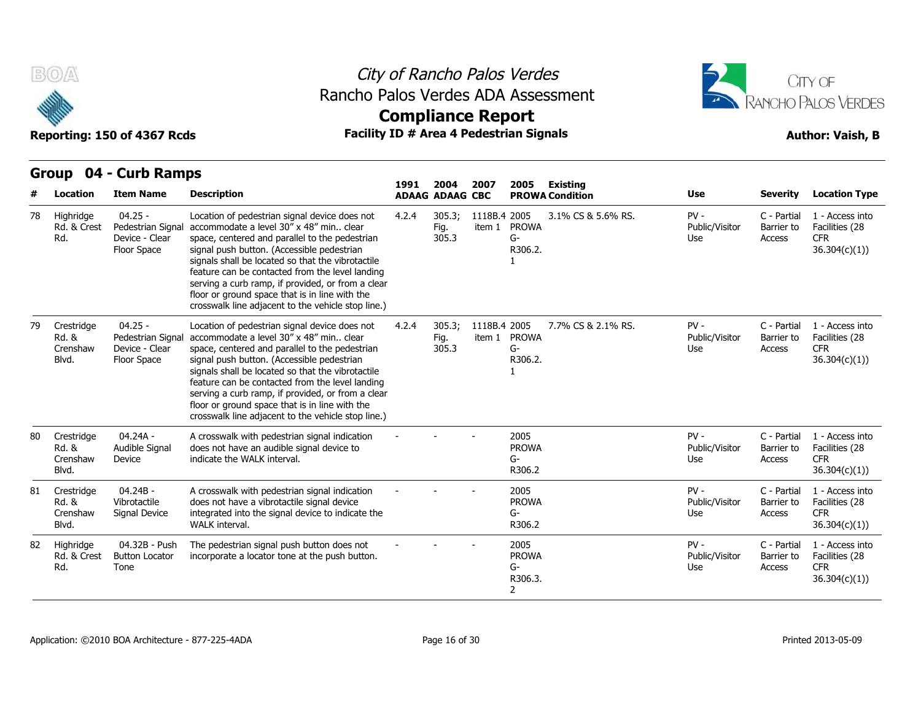

### City of Rancho Palos Verdes Rancho Palos Verdes ADA Assessment





|    |                                          | STUUP UT - CUID NAIIIPS                                         |                                                                                                                                                                                                                                                                                                                                                                                                                                                                 | 1991  | 2004                    | 2007                   | 2005                                                    | Existing               |                                 |                                     |                                                                  |
|----|------------------------------------------|-----------------------------------------------------------------|-----------------------------------------------------------------------------------------------------------------------------------------------------------------------------------------------------------------------------------------------------------------------------------------------------------------------------------------------------------------------------------------------------------------------------------------------------------------|-------|-------------------------|------------------------|---------------------------------------------------------|------------------------|---------------------------------|-------------------------------------|------------------------------------------------------------------|
|    | Location                                 | <b>Item Name</b>                                                | <b>Description</b>                                                                                                                                                                                                                                                                                                                                                                                                                                              |       | <b>ADAAG ADAAG CBC</b>  |                        |                                                         | <b>PROWA Condition</b> | <b>Use</b>                      | <b>Severity</b>                     | <b>Location Type</b>                                             |
| 78 | Highridge<br>Rd. & Crest<br>Rd.          | $04.25 -$<br>Pedestrian Signa<br>Device - Clear<br>Floor Space  | Location of pedestrian signal device does not<br>accommodate a level 30" x 48" min., clear<br>space, centered and parallel to the pedestrian<br>signal push button. (Accessible pedestrian<br>signals shall be located so that the vibrotactile<br>feature can be contacted from the level landing<br>serving a curb ramp, if provided, or from a clear<br>floor or ground space that is in line with the<br>crosswalk line adjacent to the vehicle stop line.) | 4.2.4 | 305.3;<br>Fig.<br>305.3 | 1118B.4 2005<br>item 1 | <b>PROWA</b><br>G-<br>R306.2.                           | 3.1% CS & 5.6% RS.     | $PV -$<br>Public/Visitor<br>Use | C - Partial<br>Barrier to<br>Access | 1 - Access into<br>Facilities (28<br><b>CFR</b><br>36.304(c)(1)) |
| 79 | Crestridge<br>Rd. &<br>Crenshaw<br>Blvd. | $04.25 -$<br>Pedestrian Signal<br>Device - Clear<br>Floor Space | Location of pedestrian signal device does not<br>accommodate a level 30" x 48" min., clear<br>space, centered and parallel to the pedestrian<br>signal push button. (Accessible pedestrian<br>signals shall be located so that the vibrotactile<br>feature can be contacted from the level landing<br>serving a curb ramp, if provided, or from a clear<br>floor or ground space that is in line with the<br>crosswalk line adjacent to the vehicle stop line.) | 4.2.4 | 305.3:<br>Fig.<br>305.3 | 1118B.4 2005           | item 1 PROWA<br>G-<br>R306.2.                           | 7.7% CS & 2.1% RS.     | $PV -$<br>Public/Visitor<br>Use | C - Partial<br>Barrier to<br>Access | 1 - Access into<br>Facilities (28<br><b>CFR</b><br>36.304(c)(1)) |
| 80 | Crestridge<br>Rd. &<br>Crenshaw<br>Blvd. | 04.24A -<br>Audible Signal<br>Device                            | A crosswalk with pedestrian signal indication<br>does not have an audible signal device to<br>indicate the WALK interval.                                                                                                                                                                                                                                                                                                                                       |       |                         |                        | 2005<br><b>PROWA</b><br>G-<br>R306.2                    |                        | $PV -$<br>Public/Visitor<br>Use | C - Partial<br>Barrier to<br>Access | 1 - Access into<br>Facilities (28<br><b>CFR</b><br>36.304(c)(1)  |
| 81 | Crestridge<br>Rd. &<br>Crenshaw<br>Blvd. | $04.24B -$<br>Vibrotactile<br>Signal Device                     | A crosswalk with pedestrian signal indication<br>does not have a vibrotactile signal device<br>integrated into the signal device to indicate the<br>WALK interval.                                                                                                                                                                                                                                                                                              |       |                         |                        | 2005<br><b>PROWA</b><br>G-<br>R306.2                    |                        | $PV -$<br>Public/Visitor<br>Use | C - Partial<br>Barrier to<br>Access | 1 - Access into<br>Facilities (28<br><b>CFR</b><br>36.304(c)(1)) |
| 82 | Highridge<br>Rd. & Crest<br>Rd.          | 04.32B - Push<br><b>Button Locator</b><br>Tone                  | The pedestrian signal push button does not<br>incorporate a locator tone at the push button.                                                                                                                                                                                                                                                                                                                                                                    |       |                         |                        | 2005<br><b>PROWA</b><br>G-<br>R306.3.<br>$\overline{2}$ |                        | $PV -$<br>Public/Visitor<br>Use | C - Partial<br>Barrier to<br>Access | 1 - Access into<br>Facilities (28<br><b>CFR</b><br>36.304(c)(1)  |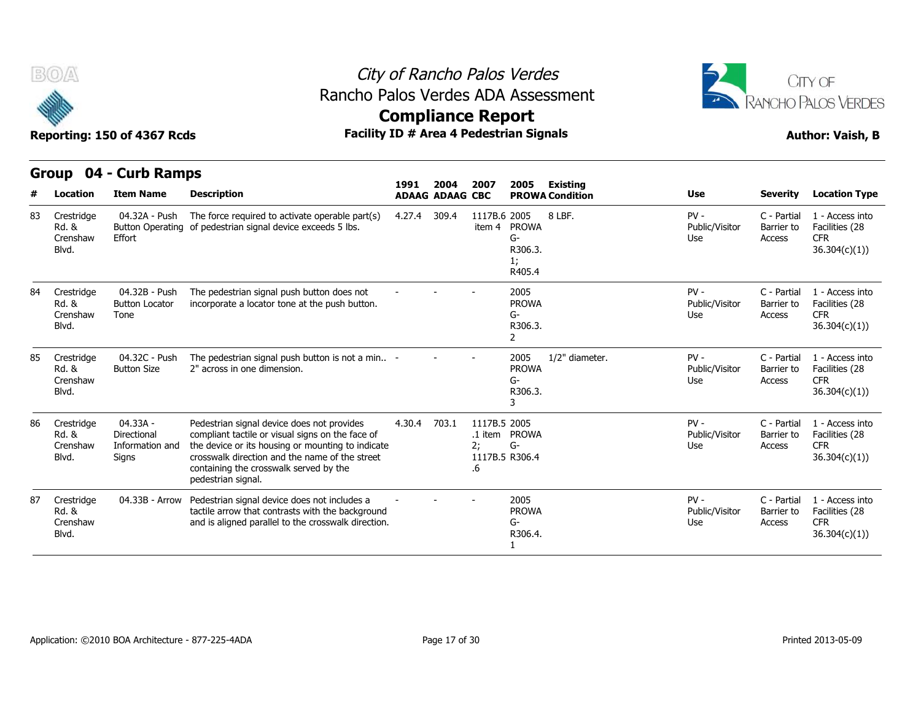

**Compliance Report**



**Reporting: 150 of 4367 Rcds Facility ID # Area 4 Pedestrian Signals Author: Vaish, B**

|    | Group                                    | 04 - Curb Ramps                                     |                                                                                                                                                                                                                                                                       |        | 2004                   | 2007                                       | 2005                                          |                                           |                                 |                                     |                                                                  |
|----|------------------------------------------|-----------------------------------------------------|-----------------------------------------------------------------------------------------------------------------------------------------------------------------------------------------------------------------------------------------------------------------------|--------|------------------------|--------------------------------------------|-----------------------------------------------|-------------------------------------------|---------------------------------|-------------------------------------|------------------------------------------------------------------|
|    | Location                                 | <b>Item Name</b>                                    | <b>Description</b>                                                                                                                                                                                                                                                    | 1991   | <b>ADAAG ADAAG CBC</b> |                                            |                                               | <b>Existing</b><br><b>PROWA Condition</b> | <b>Use</b>                      | <b>Severity</b>                     | <b>Location Type</b>                                             |
| 83 | Crestridge<br>Rd. &<br>Crenshaw<br>Blvd. | 04.32A - Push<br>Effort                             | The force required to activate operable part(s)<br>Button Operating of pedestrian signal device exceeds 5 lbs.                                                                                                                                                        | 4.27.4 | 309.4                  | 1117B.6 2005<br>item 4                     | <b>PROWA</b><br>G-<br>R306.3.<br>1;<br>R405.4 | 8 LBF.                                    | $PV -$<br>Public/Visitor<br>Use | C - Partial<br>Barrier to<br>Access | 1 - Access into<br>Facilities (28<br><b>CFR</b><br>36.304(c)(1)  |
|    | Crestridge<br>Rd. &<br>Crenshaw<br>Blvd. | 04.32B - Push<br><b>Button Locator</b><br>Tone      | The pedestrian signal push button does not<br>incorporate a locator tone at the push button.                                                                                                                                                                          |        |                        |                                            | 2005<br><b>PROWA</b><br>$G-$<br>R306.3.<br>2  |                                           | $PV -$<br>Public/Visitor<br>Use | C - Partial<br>Barrier to<br>Access | 1 - Access into<br>Facilities (28<br><b>CFR</b><br>36.304(c)(1)) |
| 85 | Crestridge<br>Rd. &<br>Crenshaw<br>Blvd. | 04.32C - Push<br><b>Button Size</b>                 | The pedestrian signal push button is not a min -<br>2" across in one dimension.                                                                                                                                                                                       |        |                        |                                            | 2005<br><b>PROWA</b><br>$G-$<br>R306.3.<br>3  | 1/2" diameter.                            | $PV -$<br>Public/Visitor<br>Use | C - Partial<br>Barrier to<br>Access | 1 - Access into<br>Facilities (28<br><b>CFR</b><br>36.304(c)(1)) |
| 86 | Crestridge<br>Rd. &<br>Crenshaw<br>Blvd. | 04.33A -<br>Directional<br>Information and<br>Signs | Pedestrian signal device does not provides<br>compliant tactile or visual signs on the face of<br>the device or its housing or mounting to indicate<br>crosswalk direction and the name of the street<br>containing the crosswalk served by the<br>pedestrian signal. | 4.30.4 | 703.1                  | 1117B.5 2005<br>2;<br>1117B.5 R306.4<br>.6 | .1 item PROWA<br>$G-$                         |                                           | $PV -$<br>Public/Visitor<br>Use | C - Partial<br>Barrier to<br>Access | 1 - Access into<br>Facilities (28<br><b>CFR</b><br>36.304(c)(1)  |
|    | Crestridge<br>Rd. &<br>Crenshaw<br>Blvd. | 04.33B - Arrow                                      | Pedestrian signal device does not includes a<br>tactile arrow that contrasts with the background<br>and is aligned parallel to the crosswalk direction.                                                                                                               |        |                        |                                            | 2005<br><b>PROWA</b><br>$G-$<br>R306.4.       |                                           | $PV -$<br>Public/Visitor<br>Use | C - Partial<br>Barrier to<br>Access | 1 - Access into<br>Facilities (28<br><b>CFR</b><br>36.304(c)(1)  |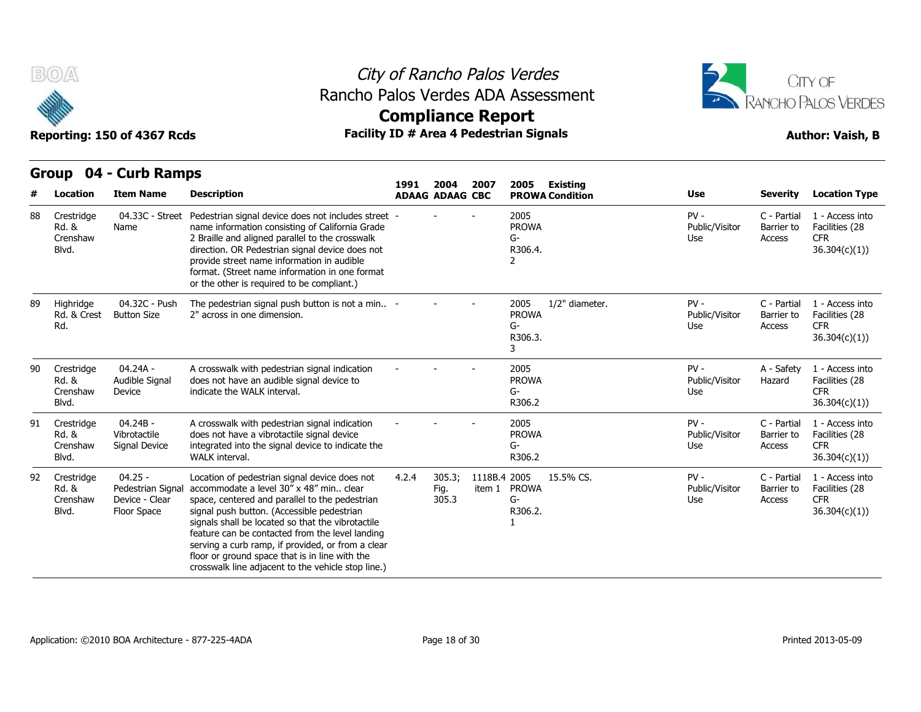



## **Compliance Report**

|    | Group                                    | 04 - Curb Ramps                                                 |                                                                                                                                                                                                                                                                                                                                                                                                                                                                 |       |                                |                        |                                                                |                                 |                                     |                                                                  |
|----|------------------------------------------|-----------------------------------------------------------------|-----------------------------------------------------------------------------------------------------------------------------------------------------------------------------------------------------------------------------------------------------------------------------------------------------------------------------------------------------------------------------------------------------------------------------------------------------------------|-------|--------------------------------|------------------------|----------------------------------------------------------------|---------------------------------|-------------------------------------|------------------------------------------------------------------|
|    | <b>Location</b>                          | <b>Item Name</b>                                                | <b>Description</b>                                                                                                                                                                                                                                                                                                                                                                                                                                              | 1991  | 2004<br><b>ADAAG ADAAG CBC</b> | 2007                   | 2005<br>Existing<br><b>PROWA Condition</b>                     | <b>Use</b>                      | <b>Severity</b>                     | <b>Location Type</b>                                             |
| 88 | Crestridge<br>Rd. &<br>Crenshaw<br>Blvd. | 04.33C - Street<br>Name                                         | Pedestrian signal device does not includes street -<br>name information consisting of California Grade<br>2 Braille and aligned parallel to the crosswalk<br>direction. OR Pedestrian signal device does not<br>provide street name information in audible<br>format. (Street name information in one format<br>or the other is required to be compliant.)                                                                                                      |       |                                |                        | 2005<br><b>PROWA</b><br>G-<br>R306.4.<br>2                     | $PV -$<br>Public/Visitor<br>Use | C - Partial<br>Barrier to<br>Access | 1 - Access into<br>Facilities (28<br><b>CFR</b><br>36.304(c)(1)  |
| 89 | Highridge<br>Rd. & Crest<br>Rd.          | 04.32C - Push<br><b>Button Size</b>                             | The pedestrian signal push button is not a min -<br>2" across in one dimension.                                                                                                                                                                                                                                                                                                                                                                                 |       |                                |                        | 1/2" diameter.<br>2005<br><b>PROWA</b><br>$G-$<br>R306.3.<br>3 | $PV -$<br>Public/Visitor<br>Use | C - Partial<br>Barrier to<br>Access | 1 - Access into<br>Facilities (28<br><b>CFR</b><br>36.304(c)(1)  |
| 90 | Crestridge<br>Rd. &<br>Crenshaw<br>Blvd. | $04.24A -$<br>Audible Signal<br>Device                          | A crosswalk with pedestrian signal indication<br>does not have an audible signal device to<br>indicate the WALK interval.                                                                                                                                                                                                                                                                                                                                       |       |                                |                        | 2005<br><b>PROWA</b><br>G-<br>R306.2                           | $PV -$<br>Public/Visitor<br>Use | A - Safety<br>Hazard                | 1 - Access into<br>Facilities (28<br><b>CFR</b><br>36.304(c)(1)  |
| 91 | Crestridge<br>Rd. &<br>Crenshaw<br>Blvd. | $04.24B -$<br>Vibrotactile<br>Signal Device                     | A crosswalk with pedestrian signal indication<br>does not have a vibrotactile signal device<br>integrated into the signal device to indicate the<br>WALK interval.                                                                                                                                                                                                                                                                                              |       |                                |                        | 2005<br><b>PROWA</b><br>G-<br>R306.2                           | $PV -$<br>Public/Visitor<br>Use | C - Partial<br>Barrier to<br>Access | 1 - Access into<br>Facilities (28<br><b>CFR</b><br>36.304(c)(1)) |
| 92 | Crestridge<br>Rd. &<br>Crenshaw<br>Blvd. | $04.25 -$<br>Pedestrian Signal<br>Device - Clear<br>Floor Space | Location of pedestrian signal device does not<br>accommodate a level 30" x 48" min., clear<br>space, centered and parallel to the pedestrian<br>signal push button. (Accessible pedestrian<br>signals shall be located so that the vibrotactile<br>feature can be contacted from the level landing<br>serving a curb ramp, if provided, or from a clear<br>floor or ground space that is in line with the<br>crosswalk line adjacent to the vehicle stop line.) | 4.2.4 | 305.3;<br>Fig.<br>305.3        | 1118B.4 2005<br>item 1 | 15.5% CS.<br><b>PROWA</b><br>G-<br>R306.2.                     | $PV -$<br>Public/Visitor<br>Use | C - Partial<br>Barrier to<br>Access | 1 - Access into<br>Facilities (28<br><b>CFR</b><br>36.304(c)(1)) |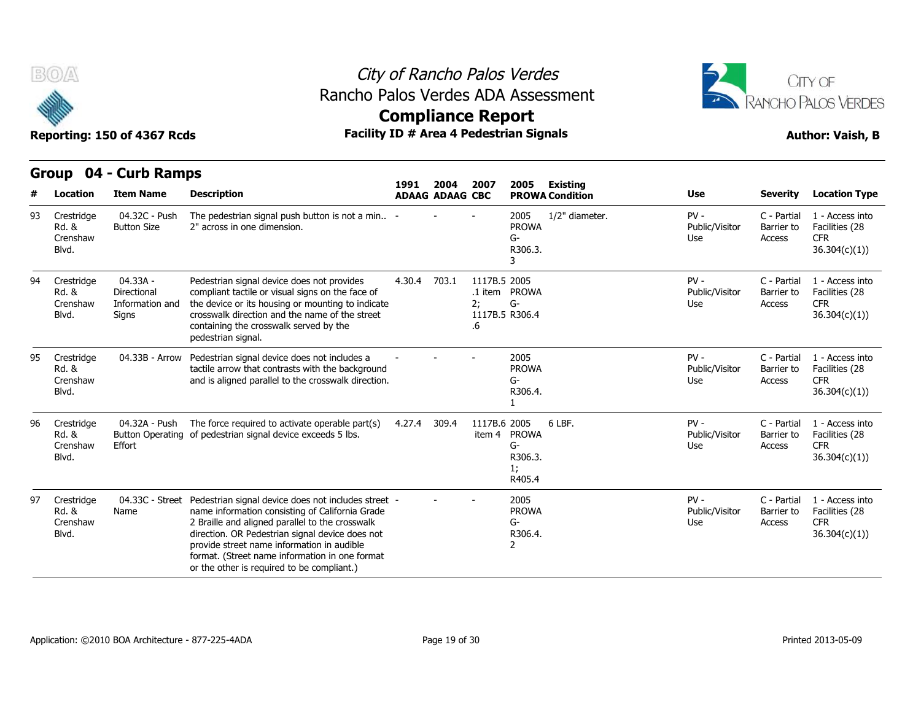

### City of Rancho Palos Verdes Rancho Palos Verdes ADA Assessment



**Compliance Report**

|    |                                          |                                                     |                                                                                                                                                                                                                                                                                                                                                            | 1991   | 2004                   | 2007                                       | 2005                                          | <b>Existing</b>        |                                 |                                     |                                                                  |
|----|------------------------------------------|-----------------------------------------------------|------------------------------------------------------------------------------------------------------------------------------------------------------------------------------------------------------------------------------------------------------------------------------------------------------------------------------------------------------------|--------|------------------------|--------------------------------------------|-----------------------------------------------|------------------------|---------------------------------|-------------------------------------|------------------------------------------------------------------|
|    | Location                                 | <b>Item Name</b>                                    | <b>Description</b>                                                                                                                                                                                                                                                                                                                                         |        | <b>ADAAG ADAAG CBC</b> |                                            |                                               | <b>PROWA Condition</b> | Use                             | <b>Severity</b>                     | <b>Location Type</b>                                             |
| 93 | Crestridge<br>Rd. &<br>Crenshaw<br>Blvd. | 04.32C - Push<br><b>Button Size</b>                 | The pedestrian signal push button is not a min -<br>2" across in one dimension.                                                                                                                                                                                                                                                                            |        |                        |                                            | 2005<br><b>PROWA</b><br>$G-$<br>R306.3.       | 1/2" diameter.         | $PV -$<br>Public/Visitor<br>Use | C - Partial<br>Barrier to<br>Access | 1 - Access into<br>Facilities (28<br><b>CFR</b><br>36.304(c)(1)) |
| 94 | Crestridge<br>Rd. &<br>Crenshaw<br>Blvd. | 04.33A -<br>Directional<br>Information and<br>Signs | Pedestrian signal device does not provides<br>compliant tactile or visual signs on the face of<br>the device or its housing or mounting to indicate<br>crosswalk direction and the name of the street<br>containing the crosswalk served by the<br>pedestrian signal.                                                                                      | 4.30.4 | 703.1                  | 1117B.5 2005<br>2:<br>1117B.5 R306.4<br>.6 | .1 item PROWA<br>G-                           |                        | $PV -$<br>Public/Visitor<br>Use | C - Partial<br>Barrier to<br>Access | 1 - Access into<br>Facilities (28<br><b>CFR</b><br>36.304(c)(1)  |
| 95 | Crestridge<br>Rd. &<br>Crenshaw<br>Blvd. | 04.33B - Arrow                                      | Pedestrian signal device does not includes a<br>tactile arrow that contrasts with the background<br>and is aligned parallel to the crosswalk direction.                                                                                                                                                                                                    |        |                        |                                            | 2005<br><b>PROWA</b><br>G-<br>R306.4.         |                        | $PV -$<br>Public/Visitor<br>Use | C - Partial<br>Barrier to<br>Access | 1 - Access into<br>Facilities (28<br><b>CFR</b><br>36.304(c)(1)) |
| 96 | Crestridge<br>Rd. &<br>Crenshaw<br>Blvd. | 04.32A - Push<br><b>Button Operating</b><br>Effort  | The force required to activate operable part(s)<br>of pedestrian signal device exceeds 5 lbs.                                                                                                                                                                                                                                                              | 4.27.4 | 309.4                  | 1117B.6 2005<br>item 4                     | <b>PROWA</b><br>G-<br>R306.3.<br>1;<br>R405.4 | 6 LBF.                 | $PV -$<br>Public/Visitor<br>Use | C - Partial<br>Barrier to<br>Access | 1 - Access into<br>Facilities (28<br><b>CFR</b><br>36.304(c)(1)  |
| 97 | Crestridge<br>Rd. &<br>Crenshaw<br>Blvd. | 04.33C - Street<br>Name                             | Pedestrian signal device does not includes street -<br>name information consisting of California Grade<br>2 Braille and aligned parallel to the crosswalk<br>direction. OR Pedestrian signal device does not<br>provide street name information in audible<br>format. (Street name information in one format<br>or the other is required to be compliant.) |        |                        |                                            | 2005<br><b>PROWA</b><br>G-<br>R306.4.<br>2    |                        | $PV -$<br>Public/Visitor<br>Use | C - Partial<br>Barrier to<br>Access | 1 - Access into<br>Facilities (28<br><b>CFR</b><br>36.304(c)(1)) |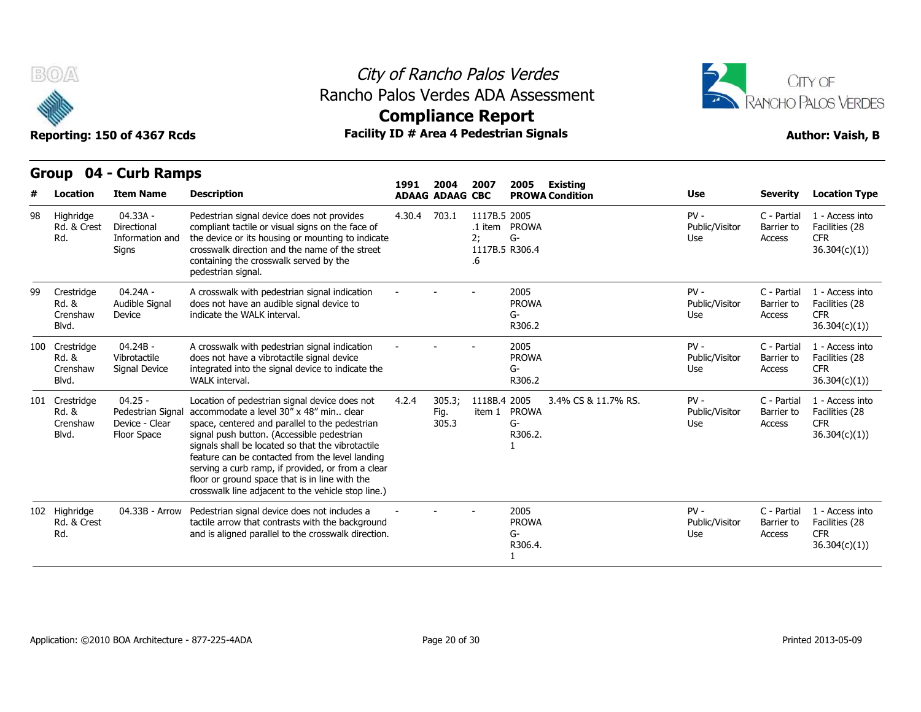



## **Compliance Report**

### **Group 04 - Curb Ramps Item Name Description 1991 ADAAG 2004 ADAAG CBC PROWA 2007 2005 Existing # Location Condition Use Severity Location Type** 04.33A - Directional Information and Signs Pedestrian signal device does not provides compliant tactile or visual signs on the face of the device or its housing or mounting to indicate crosswalk direction and the name of the street containing the crosswalk served by the pedestrian signal. 4.30.4 703.1 1117B.5 2005 .1 item PROWA 2; G-1117B.5 R306.4 .6 PV - C - Partial Public/Visitor Barrier to Use Access C - Partial 1 - Access into Barrier to Facilities (28 CFR 36.304(c)(1)) 98 Highridge Rd. & Crest Rd.  $04.24A -$ Audible Signal Device indicate the WALK interval. A crosswalk with pedestrian signal indication indicate the WALK interval. - - - <sup>2005</sup> does not have an audible signal device to PROWA G-R306.2 PV - C - Partial Public/Visitor Barrier to Use Access C - Partial 1 - Access into Barrier to Facilities (28 CFR 36.304(c)(1)) 99 Crestridge Rd. & Crenshaw Blvd. 04.24B - Vibrotactile Signal Device integrated into the signal device to indicate the A crosswalk with pedestrian signal indication does not have a vibrotactile signal device WALK interval. - - - <sup>2005</sup> PROWA G-R306.2 PV - C - Partial Public/Visitor Use Access C - Partial 1 - Access into Barrier to Facilities (28 CFR 36.304(c)(1)) Manuel Manuel Contains and Highridge<br>
100 Crestridge (14.24A - 16.8 Crestridge (14.24A - 16.8 Audible Signs<br>
100 Crestridge (14.24B - 16.8 Audible Signs (14.24B - 16.9 Audible Signs (14.24B - 16.8 Vibrotactil Crenshaw<br>
100 Rd. & Crenshaw Signal Device Blvd. 04.25 - Pedestrian Signal accommodate a level 30" x 48" min.. clear Crenshaw Device - Clear space, ce Floor Space signal push button. (Accessible pedestrian Location of pedestrian signal device does not  $4.2.4$  305.3: space, centered and parallel to the pedestrian signals shall be located so that the vibrotactile feature can be contacted from the level landing serving a curb ramp, if provided, or from a clear floor or ground space that is in line with the crosswalk line adjacent to the vehicle stop line.) 4.2.4 305.3; 1118B.4 Fig. item 1 PROWA 305.3 2005 3.4% CS & 11.7% RS. PV - G-R306.2. 1 Public/Visitor Use Access C - Partial 1 - Access into Barrier to Facilities (28 **CFR** 36.304(c)(1)) Signs<br>
99 Crestridge 04.24A -<br>
Rd. & Audible Si<br>
Crenshaw Device<br>
Blvd.<br>
100 Crestridge 04.24B -<br>
Rd. & Vibrotactil<br>
Crenshaw Signal Dev<br>
Blvd.<br>
101 Crestridge 04.25 -<br>
Rd. & Pedestriar<br>
Crenshaw Device - C<br>
Rlvd<br>
Floor Sn Rd. & Blvd. Floor Space Signal Device integrated into the signal device to indicate the<br>
WALK interval.<br>
04.25 - Location of pedestrian signal device does not 4.2.4<br>
Pedestrian Signal accommodate a level  $30''$  x 48" min.. clear<br>
Device - Clear s tactile arrow that contrasts with the background 04.33B - Arrow Pedestrian signal device does not includes a  $\begin{array}{ccc}\n 2005 \\
 - 2005 \\
 \end{array}$  PROV and is aligned parallel to the crosswalk direction. PROWA G-R306.4. PV - C - Partial Public/Visitor Barrier to Use Access C - Partial 1 - Access into Barrier to Facilities (28 CFR 36.304(c)(1)) Crenshaw Signal De<br>
Blvd.<br>
101 Crestridge 04.25 -<br>
Rd. & Pedestria<br>
Crenshaw Device - 0<br>
Blvd. Floor Spa<br>
102 Highridge 04.33B<br>
Rd. & Crest<br>
Rd. Rd. & Crest Rd.

1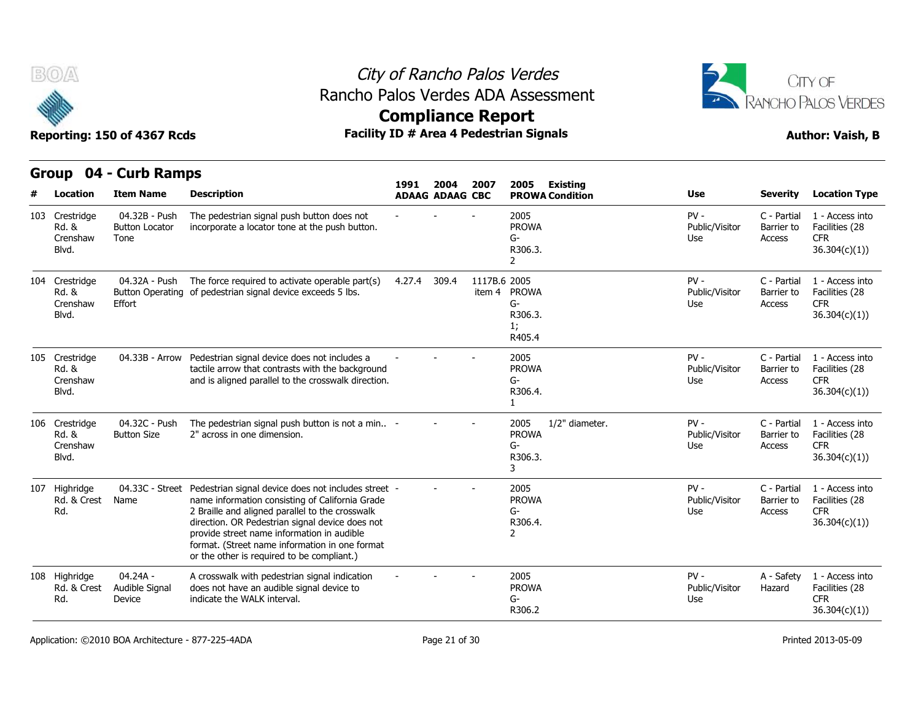



## **Compliance Report**

| B(0)<br>Reporting: 150 of 4367 Rcds          |                                                | <b>Compliance Report</b>                                                                                                                                                                                                                                                                                                                                                   |        |                                | City of Rancho Palos Verdes<br>Rancho Palos Verdes ADA Assessment<br><b>Facility ID # Area 4 Pedestrian Signals</b> |                                                                | CITY OF<br>RANCHO PALOS VERDES<br><b>Author: Vaish, B</b> |                                     |                                                                  |  |  |
|----------------------------------------------|------------------------------------------------|----------------------------------------------------------------------------------------------------------------------------------------------------------------------------------------------------------------------------------------------------------------------------------------------------------------------------------------------------------------------------|--------|--------------------------------|---------------------------------------------------------------------------------------------------------------------|----------------------------------------------------------------|-----------------------------------------------------------|-------------------------------------|------------------------------------------------------------------|--|--|
|                                              | Group 04 - Curb Ramps                          |                                                                                                                                                                                                                                                                                                                                                                            |        |                                |                                                                                                                     |                                                                |                                                           |                                     |                                                                  |  |  |
| Location                                     | <b>Item Name</b>                               | <b>Description</b>                                                                                                                                                                                                                                                                                                                                                         | 1991   | 2004<br><b>ADAAG ADAAG CBC</b> | 2007                                                                                                                | <b>Existing</b><br>2005<br><b>PROWA Condition</b>              | Use                                                       | <b>Severity</b>                     | <b>Location Type</b>                                             |  |  |
| 103 Crestridge<br>Rd. &<br>Crenshaw<br>Blvd. | 04.32B - Push<br><b>Button Locator</b><br>Tone | The pedestrian signal push button does not<br>incorporate a locator tone at the push button.                                                                                                                                                                                                                                                                               |        |                                |                                                                                                                     | 2005<br><b>PROWA</b><br>G-<br>R306.3.<br>$\mathbf{2}$          | $PV -$<br>Public/Visitor<br>Use                           | C - Partial<br>Barrier to<br>Access | 1 - Access into<br>Facilities (28<br><b>CFR</b><br>36.304(c)(1)) |  |  |
| 104 Crestridge<br>Rd. &<br>Crenshaw<br>Blvd. | 04.32A - Push<br>Effort                        | The force required to activate operable part(s)<br>Button Operating of pedestrian signal device exceeds 5 lbs.                                                                                                                                                                                                                                                             | 4.27.4 | 309.4                          | 1117B.6 2005<br>item 4                                                                                              | <b>PROWA</b><br>G-<br>R306.3.<br>1;<br>R405.4                  | $PV -$<br>Public/Visitor<br>Use                           | C - Partial<br>Barrier to<br>Access | 1 - Access into<br>Facilities (28<br><b>CFR</b><br>36.304(c)(1)  |  |  |
| 105 Crestridge<br>Rd. &<br>Crenshaw<br>Blvd. | 04.33B - Arrow                                 | Pedestrian signal device does not includes a<br>tactile arrow that contrasts with the background<br>and is aligned parallel to the crosswalk direction.                                                                                                                                                                                                                    |        |                                |                                                                                                                     | 2005<br><b>PROWA</b><br>G-<br>R306.4.<br>$\mathbf{1}$          | $PV -$<br>Public/Visitor<br>Use                           | C - Partial<br>Barrier to<br>Access | 1 - Access into<br>Facilities (28<br><b>CFR</b><br>36.304(c)(1)  |  |  |
| 106 Crestridge<br>Rd. &<br>Crenshaw<br>Blvd. | 04.32C - Push<br><b>Button Size</b>            | The pedestrian signal push button is not a min -<br>2" across in one dimension.                                                                                                                                                                                                                                                                                            |        |                                |                                                                                                                     | 2005<br>1/2" diameter.<br><b>PROWA</b><br>G-<br>R306.3.<br>3   | $PV -$<br>Public/Visitor<br>Use                           | C - Partial<br>Barrier to<br>Access | 1 - Access into<br>Facilities (28<br><b>CFR</b><br>36.304(c)(1)  |  |  |
| 107 Highridge<br>Rd. & Crest<br>Rd.          | Name                                           | 04.33C - Street Pedestrian signal device does not includes street -<br>name information consisting of California Grade<br>2 Braille and aligned parallel to the crosswalk<br>direction. OR Pedestrian signal device does not<br>provide street name information in audible<br>format. (Street name information in one format<br>or the other is required to be compliant.) |        |                                |                                                                                                                     | 2005<br><b>PROWA</b><br>G-<br>R306.4.<br>$\mathbf{2}^{\prime}$ | $PV -$<br>Public/Visitor<br>Use                           | C - Partial<br>Barrier to<br>Access | 1 - Access into<br>Facilities (28<br><b>CFR</b><br>36.304(c)(1)  |  |  |
| 108 Highridge<br>Rd. & Crest<br>Rd.          | 04.24A -<br>Audible Signal<br>Device           | A crosswalk with pedestrian signal indication<br>does not have an audible signal device to<br>indicate the WALK interval.                                                                                                                                                                                                                                                  |        |                                |                                                                                                                     | 2005<br><b>PROWA</b><br>G-<br>R306.2                           | $PV -$<br>Public/Visitor<br>Use                           | A - Safety<br>Hazard                | 1 - Access into<br>Facilities (28<br><b>CFR</b><br>36.304(c)(1)) |  |  |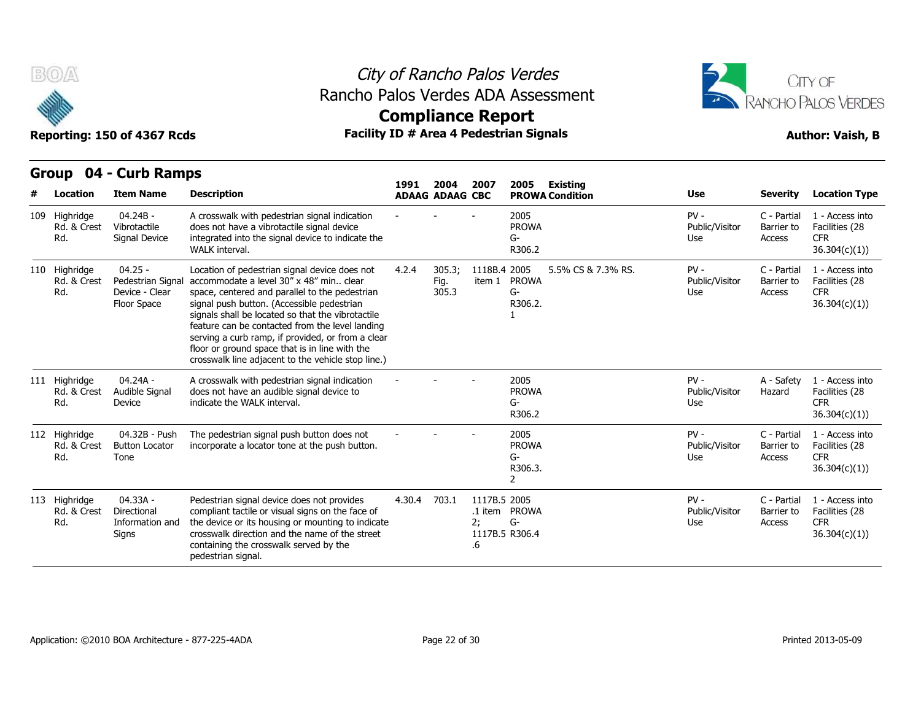

### City of Rancho Palos Verdes Rancho Palos Verdes ADA Assessment



## **Compliance Report**

|   | w                                   | Reporting: 150 of 4367 Rcds                                    |                                                                                                                                                                                                                                                                                                                                                                                                                                                               | <b>Facility ID # Area 4 Pedestrian Signals</b> | AANIhimira Isahatt             |          |              |                                                          |                                    |                                 |                                     | <b>Author: Vaish, B</b>                                          |
|---|-------------------------------------|----------------------------------------------------------------|---------------------------------------------------------------------------------------------------------------------------------------------------------------------------------------------------------------------------------------------------------------------------------------------------------------------------------------------------------------------------------------------------------------------------------------------------------------|------------------------------------------------|--------------------------------|----------|--------------|----------------------------------------------------------|------------------------------------|---------------------------------|-------------------------------------|------------------------------------------------------------------|
| # | Group<br>Location                   | 04 - Curb Ramps<br><b>Item Name</b>                            | <b>Description</b>                                                                                                                                                                                                                                                                                                                                                                                                                                            | 1991                                           | 2004<br><b>ADAAG ADAAG CBC</b> | 2007     |              | 2005                                                     | Existing<br><b>PROWA Condition</b> | Use                             | <b>Severity</b>                     | <b>Location Type</b>                                             |
|   | 109 Highridge<br>Rd. & Crest<br>Rd. | 04.24B -<br>Vibrotactile<br>Signal Device                      | A crosswalk with pedestrian signal indication<br>does not have a vibrotactile signal device<br>integrated into the signal device to indicate the<br>WALK interval.                                                                                                                                                                                                                                                                                            |                                                |                                |          |              | 2005<br><b>PROWA</b><br>G-<br>R306.2                     |                                    | $PV -$<br>Public/Visitor<br>Use | C - Partial<br>Barrier to<br>Access | 1 - Access into<br>Facilities (28<br><b>CFR</b><br>36.304(c)(1)  |
|   | 110 Highridge<br>Rd. & Crest<br>Rd. | $04.25 -$<br>Pedestrian Signa<br>Device - Clear<br>Floor Space | Location of pedestrian signal device does not<br>accommodate a level 30" x 48" min clear<br>space, centered and parallel to the pedestrian<br>signal push button. (Accessible pedestrian<br>signals shall be located so that the vibrotactile<br>feature can be contacted from the level landing<br>serving a curb ramp, if provided, or from a clear<br>floor or ground space that is in line with the<br>crosswalk line adjacent to the vehicle stop line.) | 4.2.4                                          | 305.3;<br>Fig.<br>305.3        |          | 1118B.4 2005 | item 1 PROWA<br>G-<br>R306.2.                            | 5.5% CS & 7.3% RS.                 | $PV -$<br>Public/Visitor<br>Use | C - Partial<br>Barrier to<br>Access | 1 - Access into<br>Facilities (28<br><b>CFR</b><br>36.304(c)(1)  |
|   | 111 Highridge<br>Rd. & Crest<br>Rd. | 04.24A -<br>Audible Signal<br>Device                           | A crosswalk with pedestrian signal indication<br>does not have an audible signal device to<br>indicate the WALK interval.                                                                                                                                                                                                                                                                                                                                     |                                                |                                |          |              | 2005<br><b>PROWA</b><br>G-<br>R306.2                     |                                    | $PV -$<br>Public/Visitor<br>Use | A - Safety<br>Hazard                | 1 - Access into<br>Facilities (28<br><b>CFR</b><br>36.304(c)(1)  |
|   | 112 Highridge<br>Rd. & Crest<br>Rd. | 04.32B - Push<br><b>Button Locator</b><br>Tone                 | The pedestrian signal push button does not<br>incorporate a locator tone at the push button.                                                                                                                                                                                                                                                                                                                                                                  |                                                |                                |          |              | 2005<br><b>PROWA</b><br>$G-$<br>R306.3.<br>$\mathcal{P}$ |                                    | $PV -$<br>Public/Visitor<br>Use | C - Partial<br>Barrier to<br>Access | 1 - Access into<br>Facilities (28<br><b>CFR</b><br>36.304(c)(1)) |
|   | 113 Highridge<br>Rd. & Crest<br>Rd. | 04.33A -<br>Directional<br>Information and<br>Signs            | Pedestrian signal device does not provides<br>compliant tactile or visual signs on the face of<br>the device or its housing or mounting to indicate<br>crosswalk direction and the name of the street<br>containing the crosswalk served by the<br>pedestrian signal.                                                                                                                                                                                         | 4.30.4                                         | 703.1                          | 2;<br>.6 | 1117B.5 2005 | .1 item PROWA<br>G-<br>1117B.5 R306.4                    |                                    | $PV -$<br>Public/Visitor<br>Use | C - Partial<br>Barrier to<br>Access | 1 - Access into<br>Facilities (28<br><b>CFR</b><br>36.304(c)(1)  |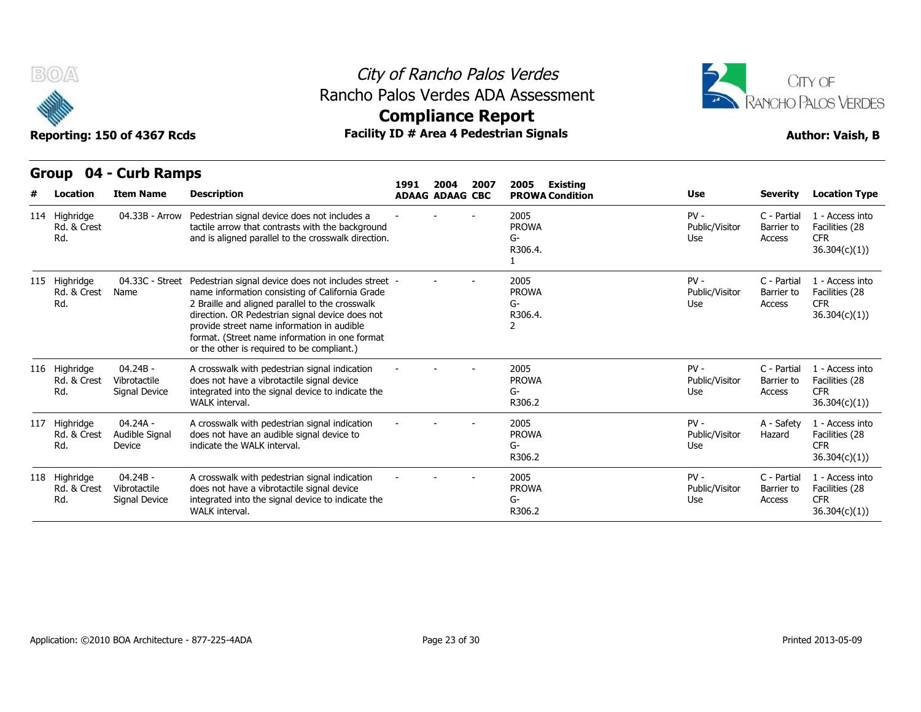

### City of Rancho Palos Verdes Rancho Palos Verdes ADA Assessment



# **Compliance Report**

| B(0)                                | Reporting: 150 of 4367 Rcds                 |                                                                                                                                                                                                                                                                                                                                                            | <b>Compliance Report</b> |                        |      | City of Rancho Palos Verdes<br>Rancho Palos Verdes ADA Assessment<br><b>Facility ID # Area 4 Pedestrian Signals</b> |                                 |                                     | CITY OF<br>RANCHO PALOS VERDES<br><b>Author: Vaish, B</b>        |
|-------------------------------------|---------------------------------------------|------------------------------------------------------------------------------------------------------------------------------------------------------------------------------------------------------------------------------------------------------------------------------------------------------------------------------------------------------------|--------------------------|------------------------|------|---------------------------------------------------------------------------------------------------------------------|---------------------------------|-------------------------------------|------------------------------------------------------------------|
| Group                               | 04 - Curb Ramps                             |                                                                                                                                                                                                                                                                                                                                                            | 1991                     | 2004                   | 2007 | <b>Existing</b><br>2005                                                                                             |                                 |                                     |                                                                  |
| Location                            | <b>Item Name</b>                            | <b>Description</b>                                                                                                                                                                                                                                                                                                                                         |                          | <b>ADAAG ADAAG CBC</b> |      | <b>PROWA Condition</b>                                                                                              | <b>Use</b>                      | <b>Severity</b>                     | <b>Location Type</b>                                             |
| 114 Highridge<br>Rd. & Crest<br>Rd. | 04.33B - Arrow                              | Pedestrian signal device does not includes a<br>tactile arrow that contrasts with the background<br>and is aligned parallel to the crosswalk direction.                                                                                                                                                                                                    |                          |                        |      | 2005<br><b>PROWA</b><br>G-<br>R306.4.<br>$\mathbf{1}$                                                               | $PV -$<br>Public/Visitor<br>Use | C - Partial<br>Barrier to<br>Access | 1 - Access into<br>Facilities (28<br><b>CFR</b><br>36.304(c)(1)  |
| 115 Highridge<br>Rd. & Crest<br>Rd. | 04.33C - Street<br>Name                     | Pedestrian signal device does not includes street -<br>name information consisting of California Grade<br>2 Braille and aligned parallel to the crosswalk<br>direction. OR Pedestrian signal device does not<br>provide street name information in audible<br>format. (Street name information in one format<br>or the other is required to be compliant.) |                          |                        |      | 2005<br><b>PROWA</b><br>G-<br>R306.4.<br>2                                                                          | $PV -$<br>Public/Visitor<br>Use | C - Partial<br>Barrier to<br>Access | 1 - Access into<br>Facilities (28<br><b>CFR</b><br>36.304(c)(1)  |
| 116 Highridge<br>Rd. & Crest<br>Rd. | $04.24B -$<br>Vibrotactile<br>Signal Device | A crosswalk with pedestrian signal indication<br>does not have a vibrotactile signal device<br>integrated into the signal device to indicate the<br>WALK interval.                                                                                                                                                                                         |                          |                        |      | 2005<br><b>PROWA</b><br>G-<br>R306.2                                                                                | $PV -$<br>Public/Visitor<br>Use | C - Partial<br>Barrier to<br>Access | 1 - Access into<br>Facilities (28<br><b>CFR</b><br>36.304(c)(1)) |
| 117 Highridge<br>Rd. & Crest<br>Rd. | 04.24A -<br>Audible Signal<br>Device        | A crosswalk with pedestrian signal indication<br>does not have an audible signal device to<br>indicate the WALK interval.                                                                                                                                                                                                                                  |                          |                        |      | 2005<br><b>PROWA</b><br>G-<br>R306.2                                                                                | $PV -$<br>Public/Visitor<br>Use | A - Safety<br>Hazard                | 1 - Access into<br>Facilities (28<br><b>CFR</b><br>36.304(c)(1)) |
| 118 Highridge<br>Rd. & Crest<br>Rd. | 04.24B -<br>Vibrotactile<br>Signal Device   | A crosswalk with pedestrian signal indication<br>does not have a vibrotactile signal device<br>integrated into the signal device to indicate the<br>WALK interval.                                                                                                                                                                                         |                          |                        |      | 2005<br><b>PROWA</b><br>G-<br>R306.2                                                                                | $PV -$<br>Public/Visitor<br>Use | C - Partial<br>Barrier to<br>Access | 1 - Access into<br>Facilities (28<br><b>CFR</b><br>36.304(c)(1)  |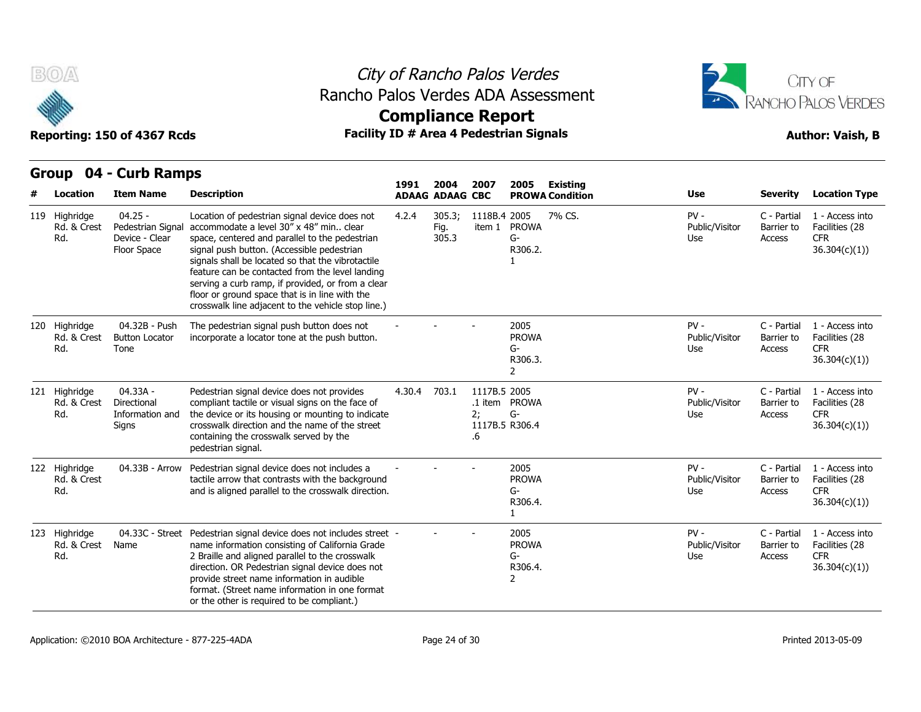



CFR 36.304(c)(1))

CFR 36.304(c)(1))

CFR 36.304(c)(1))

CFR 36.304(c)(1))

## **Compliance Report**

### **Group 04 - Curb Ramps Item Name Description 1991 ADAAG 2004 ADAAG CBC PROWA 2007 2005 Existing # Location Condition Use Severity Location Type** 04.25 - Pedestrian Signal accommodate a level 30" x 48" min.. clear Device - Clear Floor Space signal push button. (Accessible pedestrian Location of pedestrian signal device does not 4.2.4 305.3; space, centered and parallel to the pedestrian signals shall be located so that the vibrotactile feature can be contacted from the level landing serving a curb ramp, if provided, or from a clear floor or ground space that is in line with the crosswalk line adjacent to the vehicle stop line.) 4.2.4 305.3; 1118B.4 Fig. item 1 PROWA 305.3 2005 7% CS. PV - G-R306.2. 1 Public/Visitor Barrier to Use Access C - Partial 1 - Access into Barrier to Facilities (28 **119 Highridge State Proporting: 150 of 436**<br> **119 Highridge 04.25**<br>
Reporting: 150 of 436<br>
119 Highridge 04.25<br>
Rd. & Crest Pedestria<br>
Rd. Device - Clock Space Rd. & Crest Rd. 04.32B - Push Button Locator Tone The pedestrian signal push button does not The pedestrian signal push button does not  $\qquad -$  -  $\qquad -$  2005<br>incorporate a locator tone at the push button. PROV PROWA G-R306.3. 2 PV - C - Partial Public/Visitor Barrier to Use Access C - Partial 1 - Access into Barrier to Facilities (28 4 Location Item Na<br>
119 Highridge 04.25 -<br>
Rd. & Crest Pedestria<br>
Rd. Device - (Floor Spa<br>
120 Highridge 04.32B<br>
Rd. & Crest Button Lo Rd. & Crest Rd. 04.33A - Directional Information and Signs crosswalk direction and the name of the street Pedestrian signal device does not provides compliant tactile or visual signs on the face of the device or its housing or mounting to indicate containing the crosswalk served by the pedestrian signal. 4.30.4 703.1 .1 item PROWA 2; G-1117B.5 R306.4 .6 1117B<sub>.5</sub> 2005 PV - C - Partial Public/Visitor Use Access C - Partial 1 - Access into Barrier to Facilities (28 120 Highridge 04.32B<br>
Floor Spa<br>
Rd. & Crest Button Lc<br>
Rd. Tone<br>
121 Highridge 04.33A<br>
Rd. & Crest Directiona<br>
Rd. & Crest Directiona<br>
Rd. Informati Rd. & Crest Rd. 04.32B - Push The pedestrian signal push button does not<br>
Button Locator incorporate a locator tone at the push button.<br>
Tone<br>
04.33A - Pedestrian signal device does not provides 4.30.4<br>
Directional compliant tactile or vi tactile arrow that contrasts with the background 04.33B - Arrow Pedestrian signal device does not includes a  $\begin{array}{ccc} \text{1.33B} & \text{2.33B} \\ \text{2.63C} & \text{2.33D} \\ \text{2.67D} & \text{2.33D} \end{array}$  and is aligned parallel to the crosswalk direction. PROWA G-R306.4. PV - C - Partial Public/Visitor Barrier to Use Access C - Partial 1 - Access into Barrier to Facilities (28 122 Highridge Rd. & Crest Rd. 121 Highridge 04.33A<br>
Rd. & Crest Directiona<br>
Rd. Informati<br>
Signs<br>
122 Highridge 04.33B<br>
Rd. & Crest<br>
Rd.<br>
123 Highridge 04.33C<br>
Rd. & Crest Name<br>
Rd.

| 123 Highridge<br>Rd. & Crest<br>Rd. | Name | 04.33C - Street Pedestrian signal device does not includes street -<br>name information consisting of California Grade<br>2 Braille and aligned parallel to the crosswalk<br>direction. OR Pedestrian signal device does not<br>provide street name information in audible<br>format. (Street name information in one format<br>or the other is required to be compliant.) | 2005<br><b>PROWA</b><br>ს-<br>R306.4. | $PV -$<br>Public/Visitor<br>Use | C - Partial<br>Barrier to<br>Access | 1 - Access into<br>Facilities (28<br><b>CFR</b><br>36.304(c)(1)) |
|-------------------------------------|------|----------------------------------------------------------------------------------------------------------------------------------------------------------------------------------------------------------------------------------------------------------------------------------------------------------------------------------------------------------------------------|---------------------------------------|---------------------------------|-------------------------------------|------------------------------------------------------------------|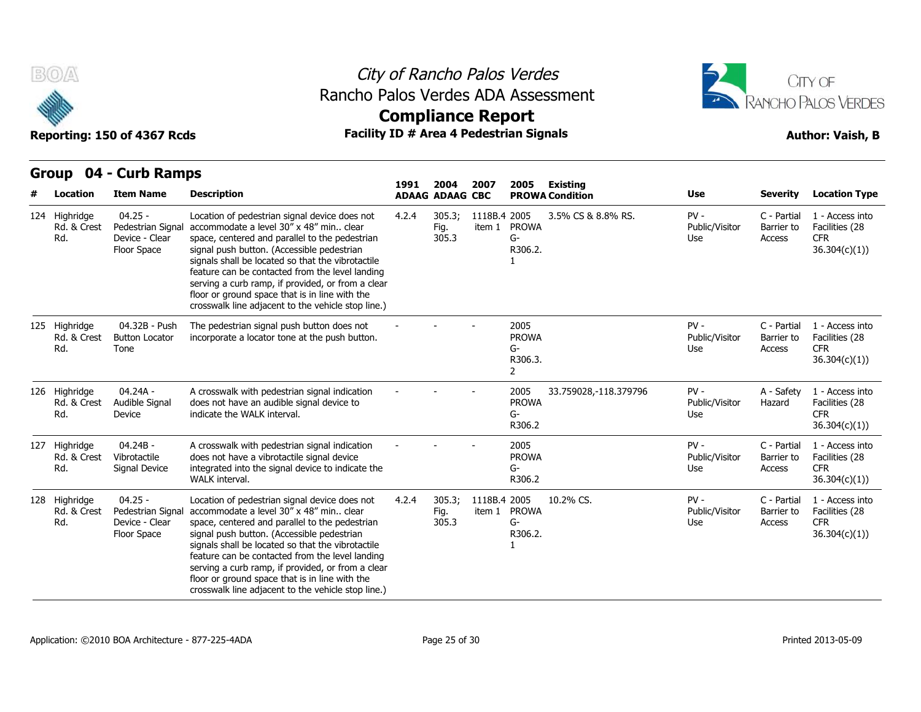

### City of Rancho Palos Verdes Rancho Palos Verdes ADA Assessment



| urvup<br>דש -                       | <b>CAID RAILDS</b>                                              |                                                                                                                                                                                                                                                                                                                                                                                                                                                               | 1991  | 2004                    | 2007                   | 2005                                                  | Existing               |                                 |                                     |                                                                  |
|-------------------------------------|-----------------------------------------------------------------|---------------------------------------------------------------------------------------------------------------------------------------------------------------------------------------------------------------------------------------------------------------------------------------------------------------------------------------------------------------------------------------------------------------------------------------------------------------|-------|-------------------------|------------------------|-------------------------------------------------------|------------------------|---------------------------------|-------------------------------------|------------------------------------------------------------------|
| Location                            | <b>Item Name</b>                                                | <b>Description</b>                                                                                                                                                                                                                                                                                                                                                                                                                                            |       | <b>ADAAG ADAAG CBC</b>  |                        |                                                       | <b>PROWA Condition</b> | <b>Use</b>                      | <b>Severity</b>                     | <b>Location Type</b>                                             |
| 124 Highridge<br>Rd. & Crest<br>Rd. | $04.25 -$<br>Pedestrian Signal<br>Device - Clear<br>Floor Space | Location of pedestrian signal device does not<br>accommodate a level 30" x 48" min clear<br>space, centered and parallel to the pedestrian<br>signal push button. (Accessible pedestrian<br>signals shall be located so that the vibrotactile<br>feature can be contacted from the level landing<br>serving a curb ramp, if provided, or from a clear<br>floor or ground space that is in line with the<br>crosswalk line adjacent to the vehicle stop line.) | 4.2.4 | 305.3;<br>Fig.<br>305.3 | 1118B.4 2005           | item 1 PROWA<br>G-<br>R306.2.                         | 3.5% CS & 8.8% RS.     | $PV -$<br>Public/Visitor<br>Use | C - Partial<br>Barrier to<br>Access | 1 - Access into<br>Facilities (28<br><b>CFR</b><br>36.304(c)(1)) |
| 125 Highridge<br>Rd. & Crest<br>Rd. | 04.32B - Push<br><b>Button Locator</b><br>Tone                  | The pedestrian signal push button does not<br>incorporate a locator tone at the push button.                                                                                                                                                                                                                                                                                                                                                                  |       |                         |                        | 2005<br><b>PROWA</b><br>G-<br>R306.3.<br>$\mathbf{2}$ |                        | $PV -$<br>Public/Visitor<br>Use | C - Partial<br>Barrier to<br>Access | 1 - Access into<br>Facilities (28<br><b>CFR</b><br>36.304(c)(1)) |
| 126 Highridge<br>Rd. & Crest<br>Rd. | 04.24A -<br>Audible Signal<br>Device                            | A crosswalk with pedestrian signal indication<br>does not have an audible signal device to<br>indicate the WALK interval.                                                                                                                                                                                                                                                                                                                                     |       |                         |                        | 2005<br><b>PROWA</b><br>G-<br>R306.2                  | 33.759028, -118.379796 | $PV -$<br>Public/Visitor<br>Use | A - Safety<br>Hazard                | 1 - Access into<br>Facilities (28<br><b>CFR</b><br>36.304(c)(1)) |
| 127 Highridge<br>Rd. & Crest<br>Rd. | $04.24B -$<br>Vibrotactile<br>Signal Device                     | A crosswalk with pedestrian signal indication<br>does not have a vibrotactile signal device<br>integrated into the signal device to indicate the<br>WALK interval.                                                                                                                                                                                                                                                                                            |       |                         |                        | 2005<br><b>PROWA</b><br>G-<br>R306.2                  |                        | $PV -$<br>Public/Visitor<br>Use | C - Partial<br>Barrier to<br>Access | 1 - Access into<br>Facilities (28<br><b>CFR</b><br>36.304(c)(1)) |
| 128 Highridge<br>Rd. & Crest<br>Rd. | $04.25 -$<br>Pedestrian Signal<br>Device - Clear<br>Floor Space | Location of pedestrian signal device does not<br>accommodate a level 30" x 48" min clear<br>space, centered and parallel to the pedestrian<br>signal push button. (Accessible pedestrian<br>signals shall be located so that the vibrotactile<br>feature can be contacted from the level landing<br>serving a curb ramp, if provided, or from a clear<br>floor or ground space that is in line with the<br>crosswalk line adjacent to the vehicle stop line.) | 4.2.4 | 305.3;<br>Fig.<br>305.3 | 1118B.4 2005<br>item 1 | <b>PROWA</b><br>G-<br>R306.2.                         | 10.2% CS.              | $PV -$<br>Public/Visitor<br>Use | C - Partial<br>Barrier to<br>Access | 1 - Access into<br>Facilities (28<br><b>CFR</b><br>36.304(c)(1)) |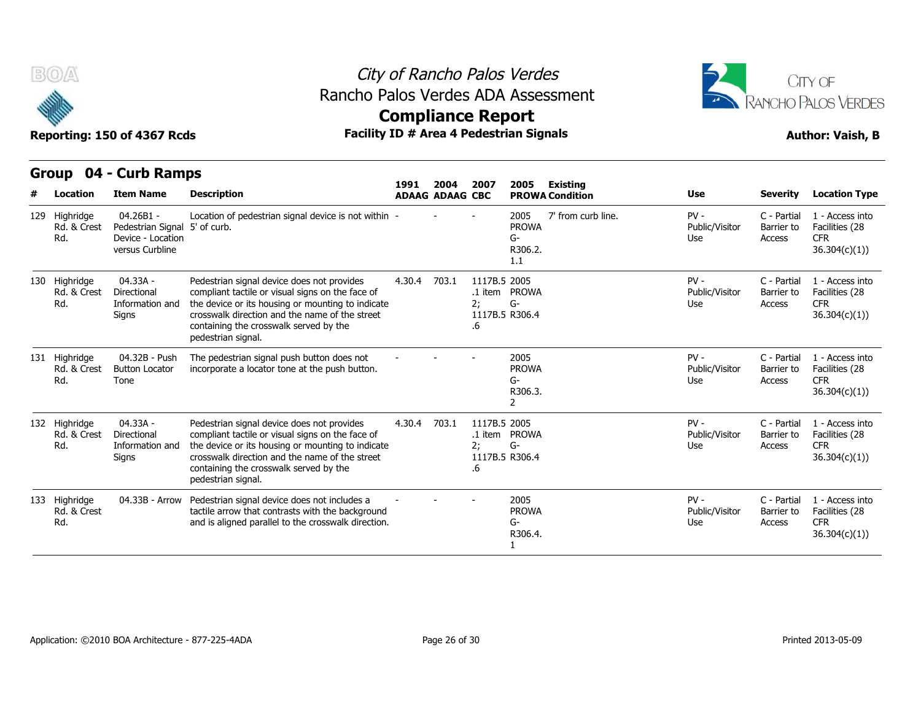



## **Compliance Report**

**Group 04 - Curb Ramps Item Name Description 1991 ADAAG 2004 ADAAG CBC PROWA 2007 2005 Existing # Location Condition Use Severity Location Type** 04.26B1 - Rd. & Crest Pedestrian Signal 5' of curb. Device - Location versus Curbline Location of pedestrian signal device is not within 5' of curb. - - - <sup>2005</sup> PROWA G-R306.2. 1.1 7' from curb line. PV - C - Partial Public/Visitor Barrier to Use Access C - Partial 1 - Access into Barrier to Facilities (28 CFR 36.304(c)(1)) Rd. 04.33A - Rd. & Crest Directional compl Information and Signs crosswalk direction and the name of the street Pedestrian signal device does not provides compliant tactile or visual signs on the face of the device or its housing or mounting to indicate containing the crosswalk served by the pedestrian signal. 4.30.4 703.1 .1 item PROWA 2; G-1117B.5 R306.4 .6 1117B 5 2005 PV - C - Partial Public/Visitor Use Access C - Partial 1 - Access into Barrier to Facilities (28 CFR 36.304(c)(1)) **Reporting: 150 of 43<sup>(</sup>Carrol)**<br> **Group 04 - Curb**<br>
# Location Item Na<br>
129 Highridge 04.26B1<br>
Rd. & Crest Pedestria<br>
Rd. Device - I<br>
versus Cu<br>
Tanghridge 04.33A<br>
Rd. & Crest Directiona<br>
Rd. & Crest Directiona<br>
Rd. Infor Rd. 04.32B - Push Button Locator Tone The pedestrian signal push button does not The pedestrian signal push button does not  $\overline{\phantom{a}}$  -  $\overline{\phantom{a}}$  - 2005<br>incorporate a locator tone at the push button. PROV PROWA G-R306.3. 2 PV - C - Partial Public/Visitor Barrier to Use Access C - Partial 1 - Access into Barrier to Facilities (28 CFR 36.304(c)(1)) 129 Highridge 04.26B1<br>
Rd. & Crest Pedestria<br>
Rd. Device - I<br>
versus CL<br>
130 Highridge 04.33A<br>
Rd. & Crest Directiona<br>
Rd. Mexical Informati<br>
Signs<br>
131 Highridge 04.32B<br>
Rd. & Crest Button Lc<br>
Rd. Tone Rd. & Crest Rd. 04.33A - Rd. & Crest Directional compl Information and Signs Pedestrian signal device does not provides compliant tactile or visual signs on the face of the device or its housing or mounting to indicate crosswalk direction and the name of the street containing the crosswalk served by the pedestrian signal. 4.30.4 703.1 .1 item PROWA 2; G-1117B.5 R306.4 .6 1117B 5 2005 PV - C - Partial Public/Visitor Use Access C - Partial 1 - Access into Barrier to Facilities (28 CFR 36.304(c)(1)) 130 Highridge 04.33A<br>
Rd. & Crest Directions<br>
Rd. Informati<br>
Signs<br>
131 Highridge 04.32B<br>
Rd. & Crest Button Lc<br>
Rd. Tone<br>
132 Highridge 04.33A<br>
Rd. & Crest Directions<br>
Rd. & Crest Directions<br>
Rd. Informati Rd. 04.32B - Push The pedestrian signal push button does not<br>
Button Locator incorporate a locator tone at the push button.<br>
Tone<br>
04.33A - Pedestrian signal device does not provides 4.30.4<br>
Directional compliant tactile or vi tactile arrow that contrasts with the background 04.33B - Arrow Pedestrian signal device does not includes a  $\begin{array}{ccc} \text{2005} \\ \text{4000} \\ \text{2005} \end{array}$  04.33B - Arrow Pedestrian signal device does not includes a  $\begin{array}{ccc} \text{2005} \\ \text{2005} \\ \text{2005} \end{array}$  2005 PROWA G-R306.4. 1  $PV -$ Public/Visitor Barrier to Use Access C - Partial 1 - Access into Barrier to Facilities (28 CFR 36.304(c)(1)) 131 Highridge 04.32B<br>
Rd. & Crest Button Lc<br>
Rd. Tone<br>
132 Highridge 04.33A<br>
Rd. & Crest Directiona<br>
Rd. & Crest Directiona<br>
133 Highridge 04.33B<br>
Rd. & Crest<br>
Rd. Rd. & Crest Rd.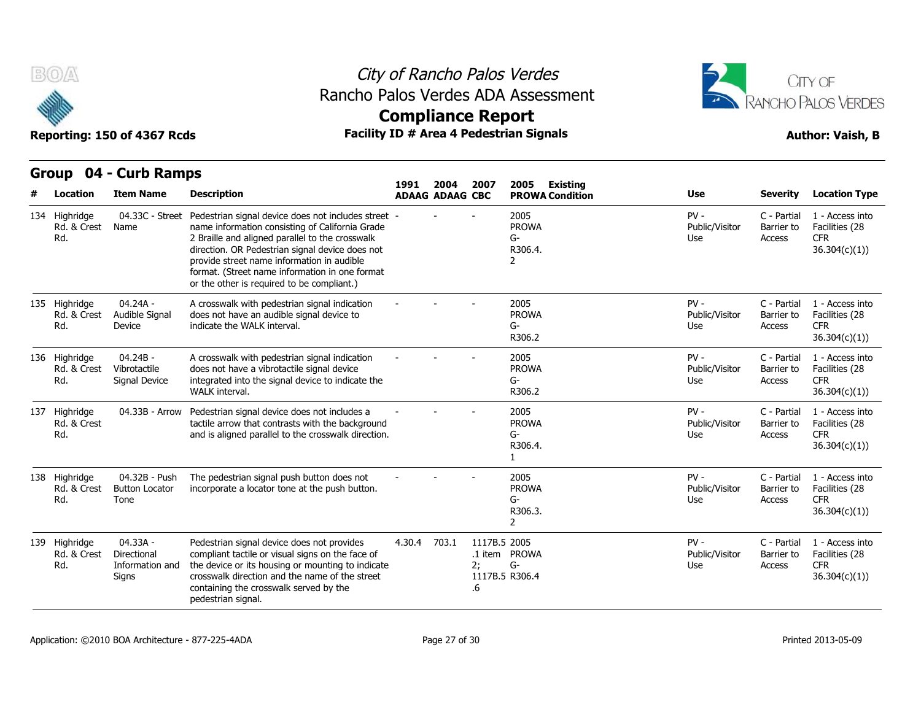

## City of Rancho Palos Verdes Rancho Palos Verdes ADA Assessment



**Compliance Report**

|                                     | Group 04 - Curb Ramps                               |                                                                                                                                                                                                                                                                                                                                                            |        |                                |                          |                                                           |                                 |                                     |                                                                  |
|-------------------------------------|-----------------------------------------------------|------------------------------------------------------------------------------------------------------------------------------------------------------------------------------------------------------------------------------------------------------------------------------------------------------------------------------------------------------------|--------|--------------------------------|--------------------------|-----------------------------------------------------------|---------------------------------|-------------------------------------|------------------------------------------------------------------|
| Location                            | <b>Item Name</b>                                    | <b>Description</b>                                                                                                                                                                                                                                                                                                                                         | 1991   | 2004<br><b>ADAAG ADAAG CBC</b> | 2007                     | Existing<br>2005<br><b>PROWA Condition</b>                | <b>Use</b>                      | <b>Severity</b>                     | <b>Location Type</b>                                             |
| 134 Highridge<br>Rd. & Crest<br>Rd. | 04.33C - Street<br>Name                             | Pedestrian signal device does not includes street -<br>name information consisting of California Grade<br>2 Braille and aligned parallel to the crosswalk<br>direction. OR Pedestrian signal device does not<br>provide street name information in audible<br>format. (Street name information in one format<br>or the other is required to be compliant.) |        |                                |                          | 2005<br><b>PROWA</b><br>$G-$<br>R306.4.<br>2              | $PV -$<br>Public/Visitor<br>Use | C - Partial<br>Barrier to<br>Access | 1 - Access into<br>Facilities (28<br><b>CFR</b><br>36.304(c)(1)) |
| 135 Highridge<br>Rd. & Crest<br>Rd. | 04.24A -<br>Audible Signal<br>Device                | A crosswalk with pedestrian signal indication<br>does not have an audible signal device to<br>indicate the WALK interval.                                                                                                                                                                                                                                  |        |                                |                          | 2005<br><b>PROWA</b><br>G-<br>R306.2                      | $PV -$<br>Public/Visitor<br>Use | C - Partial<br>Barrier to<br>Access | 1 - Access into<br>Facilities (28<br><b>CFR</b><br>36.304(c)(1)) |
| 136 Highridge<br>Rd. & Crest<br>Rd. | $04.24B -$<br>Vibrotactile<br>Signal Device         | A crosswalk with pedestrian signal indication<br>does not have a vibrotactile signal device<br>integrated into the signal device to indicate the<br>WALK interval.                                                                                                                                                                                         |        |                                |                          | 2005<br><b>PROWA</b><br>G-<br>R306.2                      | $PV -$<br>Public/Visitor<br>Use | C - Partial<br>Barrier to<br>Access | 1 - Access into<br>Facilities (28<br><b>CFR</b><br>36.304(c)(1)) |
| 137 Highridge<br>Rd. & Crest<br>Rd. | 04.33B - Arrow                                      | Pedestrian signal device does not includes a<br>tactile arrow that contrasts with the background<br>and is aligned parallel to the crosswalk direction.                                                                                                                                                                                                    |        |                                |                          | 2005<br><b>PROWA</b><br>G-<br>R306.4.<br>$\mathbf{1}$     | $PV -$<br>Public/Visitor<br>Use | C - Partial<br>Barrier to<br>Access | 1 - Access into<br>Facilities (28<br><b>CFR</b><br>36.304(c)(1)  |
| 138 Highridge<br>Rd. & Crest<br>Rd. | 04.32B - Push<br><b>Button Locator</b><br>Tone      | The pedestrian signal push button does not<br>incorporate a locator tone at the push button.                                                                                                                                                                                                                                                               |        |                                |                          | 2005<br><b>PROWA</b><br>$G-$<br>R306.3.<br>$\overline{2}$ | $PV -$<br>Public/Visitor<br>Use | C - Partial<br>Barrier to<br>Access | 1 - Access into<br>Facilities (28<br><b>CFR</b><br>36.304(c)(1)) |
| 139 Highridge<br>Rd. & Crest<br>Rd. | 04.33A -<br>Directional<br>Information and<br>Signs | Pedestrian signal device does not provides<br>compliant tactile or visual signs on the face of<br>the device or its housing or mounting to indicate<br>crosswalk direction and the name of the street<br>containing the crosswalk served by the<br>pedestrian signal.                                                                                      | 4.30.4 | 703.1                          | 1117B.5 2005<br>2:<br>.6 | .1 item PROWA<br>$G-$<br>1117B.5 R306.4                   | $PV -$<br>Public/Visitor<br>Use | C - Partial<br>Barrier to<br>Access | 1 - Access into<br>Facilities (28<br><b>CFR</b><br>36.304(c)(1)  |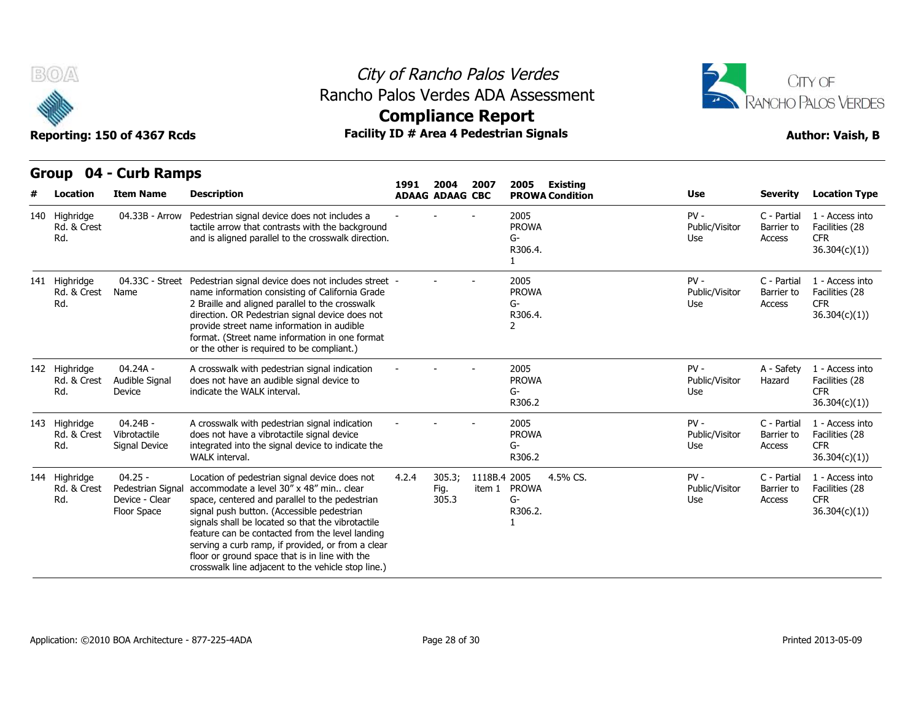



### **Compliance Report**

| B(0/A)                              | Reporting: 150 of 4367 Rcds                                     |                                                                                                                                                                                                                                                                                                                                                                                                                                                               | <b>Compliance Report</b> |                                |                        | City of Rancho Palos Verdes<br>Rancho Palos Verdes ADA Assessment<br><b>Facility ID # Area 4 Pedestrian Signals</b> |                                 |                                     | CITY OF<br><b>RANCHO PALOS VERDES</b><br><b>Author: Vaish, B</b> |
|-------------------------------------|-----------------------------------------------------------------|---------------------------------------------------------------------------------------------------------------------------------------------------------------------------------------------------------------------------------------------------------------------------------------------------------------------------------------------------------------------------------------------------------------------------------------------------------------|--------------------------|--------------------------------|------------------------|---------------------------------------------------------------------------------------------------------------------|---------------------------------|-------------------------------------|------------------------------------------------------------------|
| Location                            | Group 04 - Curb Ramps<br><b>Item Name</b>                       | <b>Description</b>                                                                                                                                                                                                                                                                                                                                                                                                                                            | 1991                     | 2004<br><b>ADAAG ADAAG CBC</b> | 2007                   | 2005<br><b>Existing</b><br><b>PROWA Condition</b>                                                                   | <b>Use</b>                      | <b>Severity</b>                     | <b>Location Type</b>                                             |
| 140 Highridge<br>Rd. & Crest<br>Rd. | 04.33B - Arrow                                                  | Pedestrian signal device does not includes a<br>tactile arrow that contrasts with the background<br>and is aligned parallel to the crosswalk direction.                                                                                                                                                                                                                                                                                                       |                          |                                |                        | 2005<br><b>PROWA</b><br>G-<br>R306.4.<br>$\mathbf{1}$                                                               | $PV -$<br>Public/Visitor<br>Use | C - Partial<br>Barrier to<br>Access | 1 - Access into<br>Facilities (28<br><b>CFR</b><br>36.304(c)(1)) |
| 141 Highridge<br>Rd. & Crest<br>Rd. | Name                                                            | 04.33C - Street Pedestrian signal device does not includes street -<br>name information consisting of California Grade<br>2 Braille and aligned parallel to the crosswalk<br>direction. OR Pedestrian signal device does not<br>provide street name information in audible<br>format. (Street name information in one format<br>or the other is required to be compliant.)                                                                                    |                          |                                |                        | 2005<br><b>PROWA</b><br>G-<br>R306.4.<br>2                                                                          | $PV -$<br>Public/Visitor<br>Use | C - Partial<br>Barrier to<br>Access | 1 - Access into<br>Facilities (28<br><b>CFR</b><br>36.304(c)(1)) |
| 142 Highridge<br>Rd. & Crest<br>Rd. | 04.24A -<br>Audible Signal<br>Device                            | A crosswalk with pedestrian signal indication<br>does not have an audible signal device to<br>indicate the WALK interval.                                                                                                                                                                                                                                                                                                                                     |                          |                                |                        | 2005<br><b>PROWA</b><br>G-<br>R306.2                                                                                | $PV -$<br>Public/Visitor<br>Use | A - Safety<br>Hazard                | 1 - Access into<br>Facilities (28<br><b>CFR</b><br>36.304(c)(1)  |
| 143 Highridge<br>Rd. & Crest<br>Rd. | 04.24B -<br>Vibrotactile<br>Signal Device                       | A crosswalk with pedestrian signal indication<br>does not have a vibrotactile signal device<br>integrated into the signal device to indicate the<br><b>WALK</b> interval.                                                                                                                                                                                                                                                                                     |                          |                                |                        | 2005<br><b>PROWA</b><br>G-<br>R306.2                                                                                | $PV -$<br>Public/Visitor<br>Use | C - Partial<br>Barrier to<br>Access | 1 - Access into<br>Facilities (28<br><b>CFR</b><br>36.304(c)(1)  |
| 144 Highridge<br>Rd. & Crest<br>Rd. | $04.25 -$<br>Pedestrian Signal<br>Device - Clear<br>Floor Space | Location of pedestrian signal device does not<br>accommodate a level 30" x 48" min clear<br>space, centered and parallel to the pedestrian<br>signal push button. (Accessible pedestrian<br>signals shall be located so that the vibrotactile<br>feature can be contacted from the level landing<br>serving a curb ramp, if provided, or from a clear<br>floor or ground space that is in line with the<br>crosswalk line adjacent to the vehicle stop line.) | 4.2.4                    | 305.3;<br>Fig.<br>305.3        | 1118B.4 2005<br>item 1 | 4.5% CS.<br><b>PROWA</b><br>$G-$<br>R306.2.<br>$\mathbf{1}$                                                         | $PV -$<br>Public/Visitor<br>Use | C - Partial<br>Barrier to<br>Access | 1 - Access into<br>Facilities (28<br><b>CFR</b><br>36.304(c)(1)  |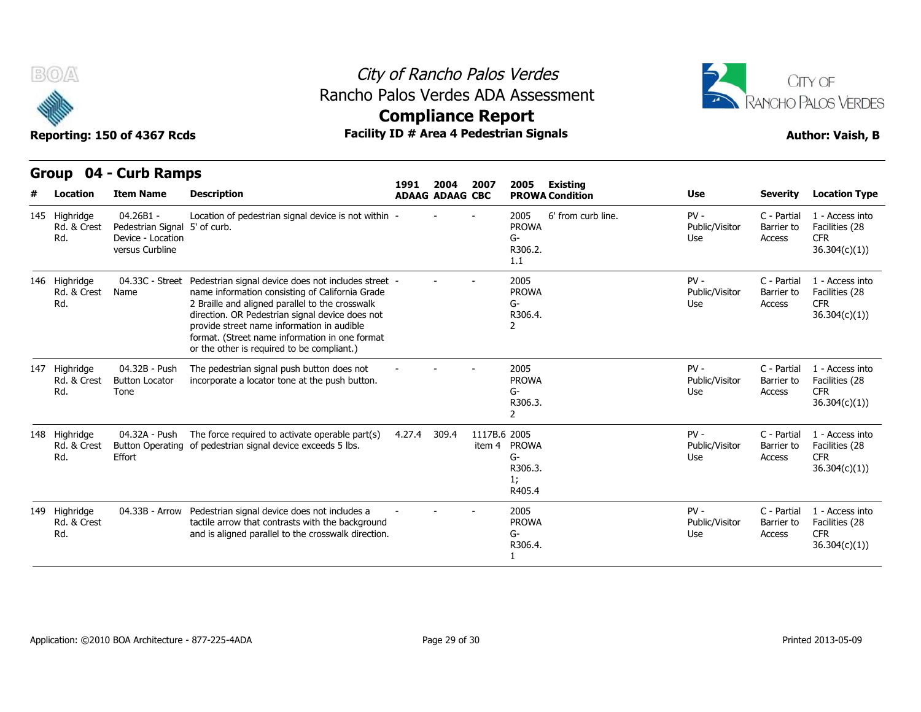

### City of Rancho Palos Verdes Rancho Palos Verdes ADA Assessment



| Reporting: 150 of 4367 Rcds                                                 |                                     |                                                                                    |                                                                                                                                                                                                                                                                                                                                                            |        |                        |                        | Facility ID # Area 4 Pedestrian Signals                            | <b>Author: Vaish, B</b>         |                                     |                                                                  |  |
|-----------------------------------------------------------------------------|-------------------------------------|------------------------------------------------------------------------------------|------------------------------------------------------------------------------------------------------------------------------------------------------------------------------------------------------------------------------------------------------------------------------------------------------------------------------------------------------------|--------|------------------------|------------------------|--------------------------------------------------------------------|---------------------------------|-------------------------------------|------------------------------------------------------------------|--|
| 04 - Curb Ramps<br>Group<br>2004<br>2007<br>2005<br>1991<br><b>Existing</b> |                                     |                                                                                    |                                                                                                                                                                                                                                                                                                                                                            |        |                        |                        |                                                                    |                                 |                                     |                                                                  |  |
|                                                                             | Location                            | <b>Item Name</b>                                                                   | <b>Description</b>                                                                                                                                                                                                                                                                                                                                         |        | <b>ADAAG ADAAG CBC</b> |                        | <b>PROWA Condition</b>                                             | <b>Use</b>                      | <b>Severity</b>                     | <b>Location Type</b>                                             |  |
|                                                                             | 145 Highridge<br>Rd. & Crest<br>Rd. | 04.26B1 -<br>Pedestrian Signal 5' of curb.<br>Device - Location<br>versus Curbline | Location of pedestrian signal device is not within -                                                                                                                                                                                                                                                                                                       |        |                        |                        | 6' from curb line.<br>2005<br><b>PROWA</b><br>G-<br>R306.2.<br>1.1 | $PV -$<br>Public/Visitor<br>Use | C - Partial<br>Barrier to<br>Access | 1 - Access into<br>Facilities (28<br><b>CFR</b><br>36.304(c)(1)  |  |
|                                                                             | 146 Highridge<br>Rd. & Crest<br>Rd. | 04.33C - Street<br>Name                                                            | Pedestrian signal device does not includes street -<br>name information consisting of California Grade<br>2 Braille and aligned parallel to the crosswalk<br>direction. OR Pedestrian signal device does not<br>provide street name information in audible<br>format. (Street name information in one format<br>or the other is required to be compliant.) |        |                        |                        | 2005<br><b>PROWA</b><br>G-<br>R306.4.<br>2                         | $PV -$<br>Public/Visitor<br>Use | C - Partial<br>Barrier to<br>Access | 1 - Access into<br>Facilities (28<br><b>CFR</b><br>36.304(c)(1)) |  |
|                                                                             | 147 Highridge<br>Rd. & Crest<br>Rd. | 04.32B - Push<br><b>Button Locator</b><br>Tone                                     | The pedestrian signal push button does not<br>incorporate a locator tone at the push button.                                                                                                                                                                                                                                                               |        |                        |                        | 2005<br><b>PROWA</b><br>G-<br>R306.3.<br>2                         | $PV -$<br>Public/Visitor<br>Use | C - Partial<br>Barrier to<br>Access | 1 - Access into<br>Facilities (28<br><b>CFR</b><br>36.304(c)(1)) |  |
|                                                                             | 148 Highridge<br>Rd. & Crest<br>Rd. | 04.32A - Push<br>Effort                                                            | The force required to activate operable part(s)<br>Button Operating of pedestrian signal device exceeds 5 lbs.                                                                                                                                                                                                                                             | 4.27.4 | 309.4                  | 1117B.6 2005<br>item 4 | <b>PROWA</b><br>G-<br>R306.3.<br>1;<br>R405.4                      | $PV -$<br>Public/Visitor<br>Use | C - Partial<br>Barrier to<br>Access | 1 - Access into<br>Facilities (28<br><b>CFR</b><br>36.304(c)(1)) |  |
|                                                                             | 149 Highridge<br>Rd. & Crest<br>Rd. | 04.33B - Arrow                                                                     | Pedestrian signal device does not includes a<br>tactile arrow that contrasts with the background<br>and is aligned parallel to the crosswalk direction.                                                                                                                                                                                                    |        |                        |                        | 2005<br><b>PROWA</b><br>G-<br>R306.4.                              | $PV -$<br>Public/Visitor<br>Use | C - Partial<br>Barrier to<br>Access | 1 - Access into<br>Facilities (28<br><b>CFR</b><br>36.304(c)(1)  |  |